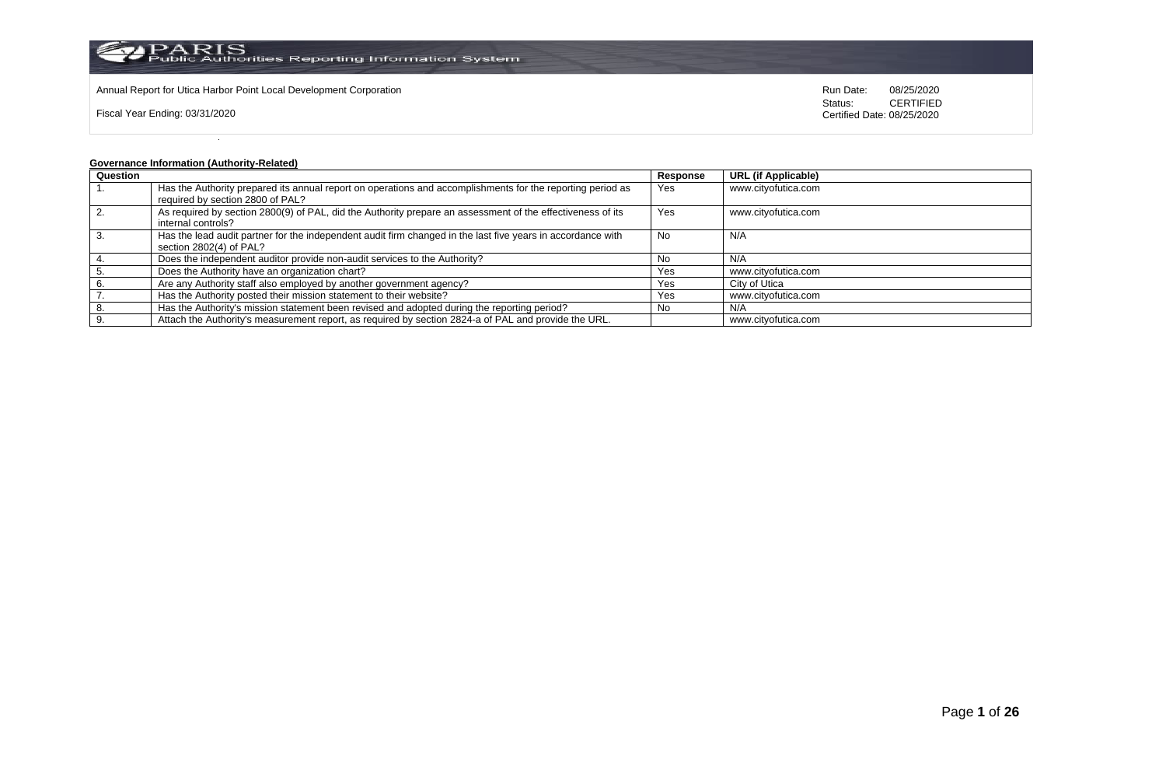

Annual Report for Utica Harbor Point Local Development Corporation **Run Date:** 08/25/2020 Run Date: 08/25/2020

Fiscal Year Ending: 03/31/2020

Status: **CERTIFIED** Certified Date: 08/25/2020

## **Governance Information (Authority-Related)**

| Question |                                                                                                             | Response | <b>URL (if Applicable)</b> |
|----------|-------------------------------------------------------------------------------------------------------------|----------|----------------------------|
|          | Has the Authority prepared its annual report on operations and accomplishments for the reporting period as  | Yes      | www.cityofutica.com        |
|          | required by section 2800 of PAL?                                                                            |          |                            |
| 2.       | As required by section 2800(9) of PAL, did the Authority prepare an assessment of the effectiveness of its  | Yes      | www.cityofutica.com        |
|          | internal controls?                                                                                          |          |                            |
|          | Has the lead audit partner for the independent audit firm changed in the last five years in accordance with | No       | N/A                        |
|          | section 2802(4) of PAL?                                                                                     |          |                            |
|          | Does the independent auditor provide non-audit services to the Authority?                                   | No.      | N/A                        |
|          | Does the Authority have an organization chart?                                                              | Yes      | www.cityofutica.com        |
|          | Are any Authority staff also employed by another government agency?                                         | Yes      | City of Utica              |
|          | Has the Authority posted their mission statement to their website?                                          | Yes      | www.cityofutica.com        |
|          | Has the Authority's mission statement been revised and adopted during the reporting period?                 | No       | N/A                        |
|          | Attach the Authority's measurement report, as required by section 2824-a of PAL and provide the URL.        |          | www.cityofutica.com        |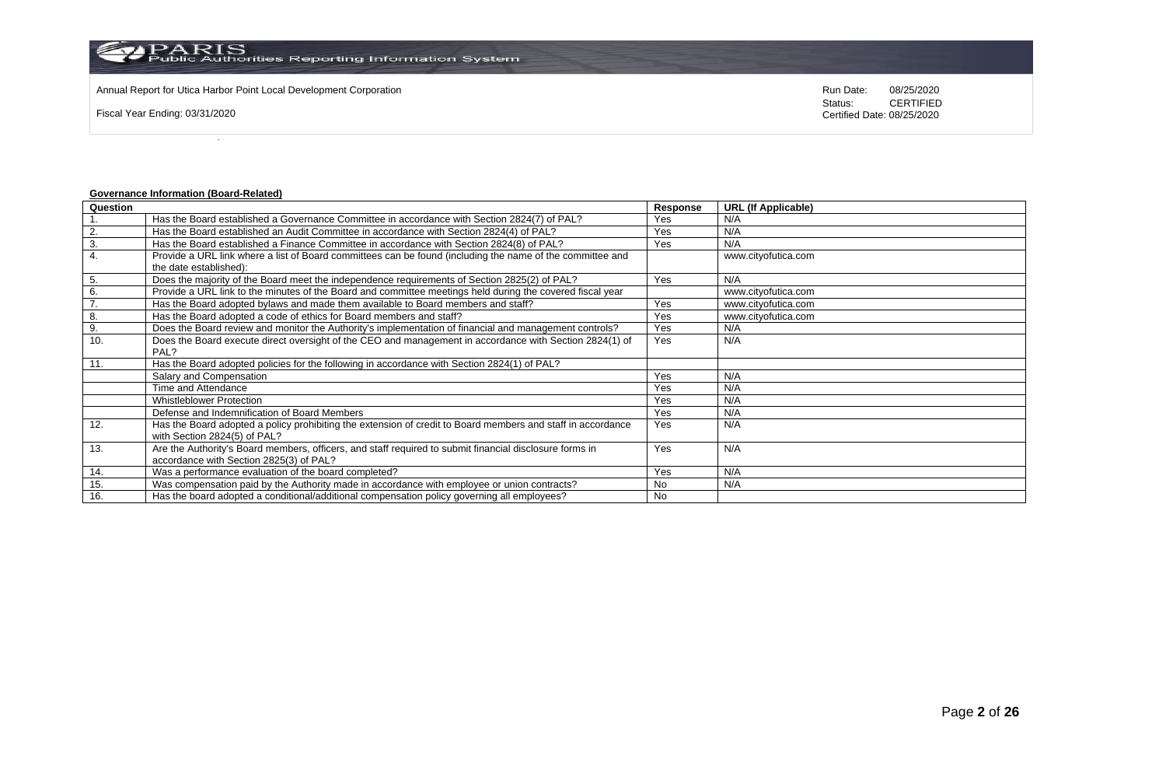Annual Report for Utica Harbor Point Local Development Corporation **Run Date:** 08/25/2020 Run Date: 08/25/2020

Fiscal Year Ending: 03/31/2020

Status: **CERTIFIED** Certified Date: 08/25/2020

## **Governance Information (Board-Related)**

| Question |                                                                                                             | <b>Response</b> | <b>URL (If Applicable)</b> |
|----------|-------------------------------------------------------------------------------------------------------------|-----------------|----------------------------|
|          | Has the Board established a Governance Committee in accordance with Section 2824(7) of PAL?                 | Yes             | N/A                        |
| 2.       | Has the Board established an Audit Committee in accordance with Section 2824(4) of PAL?                     | Yes             | N/A                        |
| 3.       | Has the Board established a Finance Committee in accordance with Section 2824(8) of PAL?                    | Yes             | N/A                        |
| 4.       | Provide a URL link where a list of Board committees can be found (including the name of the committee and   |                 | www.cityofutica.com        |
|          | the date established):                                                                                      |                 |                            |
| 5.       | Does the majority of the Board meet the independence requirements of Section 2825(2) of PAL?                | Yes             | N/A                        |
| 6.       | Provide a URL link to the minutes of the Board and committee meetings held during the covered fiscal year   |                 | www.cityofutica.com        |
| 7.       | Has the Board adopted bylaws and made them available to Board members and staff?                            | Yes             | www.cityofutica.com        |
| 8.       | Has the Board adopted a code of ethics for Board members and staff?                                         | Yes             | www.cityofutica.com        |
| 9.       | Does the Board review and monitor the Authority's implementation of financial and management controls?      | Yes             | N/A                        |
| 10.      | Does the Board execute direct oversight of the CEO and management in accordance with Section 2824(1) of     | Yes             | N/A                        |
|          | PAL?                                                                                                        |                 |                            |
| 11.      | Has the Board adopted policies for the following in accordance with Section 2824(1) of PAL?                 |                 |                            |
|          | Salary and Compensation                                                                                     | Yes             | N/A                        |
|          | Time and Attendance                                                                                         | Yes             | N/A                        |
|          | <b>Whistleblower Protection</b>                                                                             | Yes             | N/A                        |
|          | Defense and Indemnification of Board Members                                                                | Yes             | N/A                        |
| 12.      | Has the Board adopted a policy prohibiting the extension of credit to Board members and staff in accordance | Yes             | N/A                        |
|          | with Section 2824(5) of PAL?                                                                                |                 |                            |
| 13.      | Are the Authority's Board members, officers, and staff required to submit financial disclosure forms in     | Yes             | N/A                        |
|          | accordance with Section 2825(3) of PAL?                                                                     |                 |                            |
| 14.      | Was a performance evaluation of the board completed?                                                        | Yes             | N/A                        |
| 15.      | Was compensation paid by the Authority made in accordance with employee or union contracts?                 | <b>No</b>       | N/A                        |
| 16.      | Has the board adopted a conditional/additional compensation policy governing all employees?                 | <b>No</b>       |                            |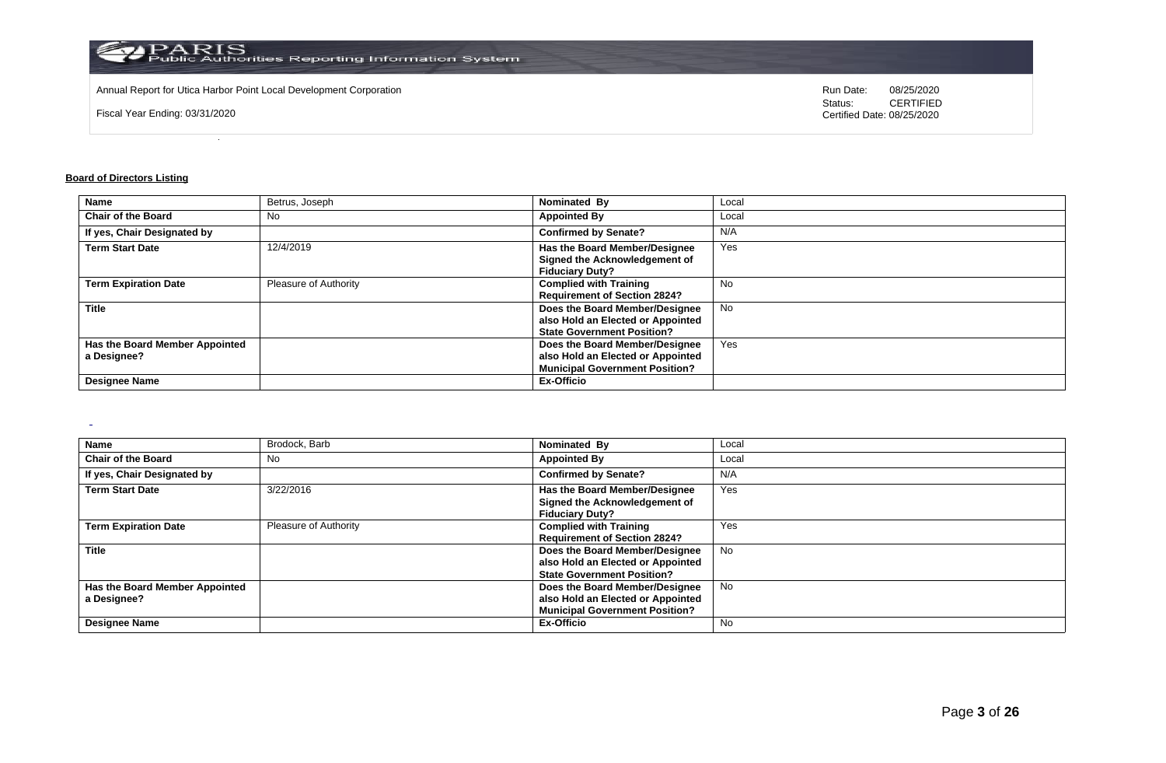

Annual Report for Utica Harbor Point Local Development Corporation **Run Date:** 08/25/2020 Run Date: 08/25/2020

Fiscal Year Ending: 03/31/2020

Status: **CERTIFIED** Certified Date: 08/25/2020

## **Board of Directors Listing**

 $\sim$ 

| <b>Name</b>                    | Betrus, Joseph        | Nominated By                          | Local     |
|--------------------------------|-----------------------|---------------------------------------|-----------|
| <b>Chair of the Board</b>      | No.                   | <b>Appointed By</b>                   | Local     |
| If yes, Chair Designated by    |                       | <b>Confirmed by Senate?</b>           | N/A       |
| <b>Term Start Date</b>         | 12/4/2019             | Has the Board Member/Designee         | Yes       |
|                                |                       | Signed the Acknowledgement of         |           |
|                                |                       | <b>Fiduciary Duty?</b>                |           |
| <b>Term Expiration Date</b>    | Pleasure of Authority | <b>Complied with Training</b>         | No.       |
|                                |                       | <b>Requirement of Section 2824?</b>   |           |
| <b>Title</b>                   |                       | Does the Board Member/Designee        | <b>No</b> |
|                                |                       | also Hold an Elected or Appointed     |           |
|                                |                       | <b>State Government Position?</b>     |           |
| Has the Board Member Appointed |                       | Does the Board Member/Designee        | Yes       |
| a Designee?                    |                       | also Hold an Elected or Appointed     |           |
|                                |                       | <b>Municipal Government Position?</b> |           |
| <b>Designee Name</b>           |                       | <b>Ex-Officio</b>                     |           |

| Name                                          | Brodock, Barb         | Nominated By                                                                                                 | Local     |
|-----------------------------------------------|-----------------------|--------------------------------------------------------------------------------------------------------------|-----------|
| <b>Chair of the Board</b>                     | No                    | <b>Appointed By</b>                                                                                          | Local     |
| If yes, Chair Designated by                   |                       | <b>Confirmed by Senate?</b>                                                                                  | N/A       |
| <b>Term Start Date</b>                        | 3/22/2016             | Has the Board Member/Designee<br>Signed the Acknowledgement of<br><b>Fiduciary Duty?</b>                     | Yes       |
| <b>Term Expiration Date</b>                   | Pleasure of Authority | <b>Complied with Training</b><br><b>Requirement of Section 2824?</b>                                         | Yes       |
| Title                                         |                       | Does the Board Member/Designee<br>also Hold an Elected or Appointed<br><b>State Government Position?</b>     | <b>No</b> |
| Has the Board Member Appointed<br>a Designee? |                       | Does the Board Member/Designee<br>also Hold an Elected or Appointed<br><b>Municipal Government Position?</b> | No        |
| <b>Designee Name</b>                          |                       | Ex-Officio                                                                                                   | <b>No</b> |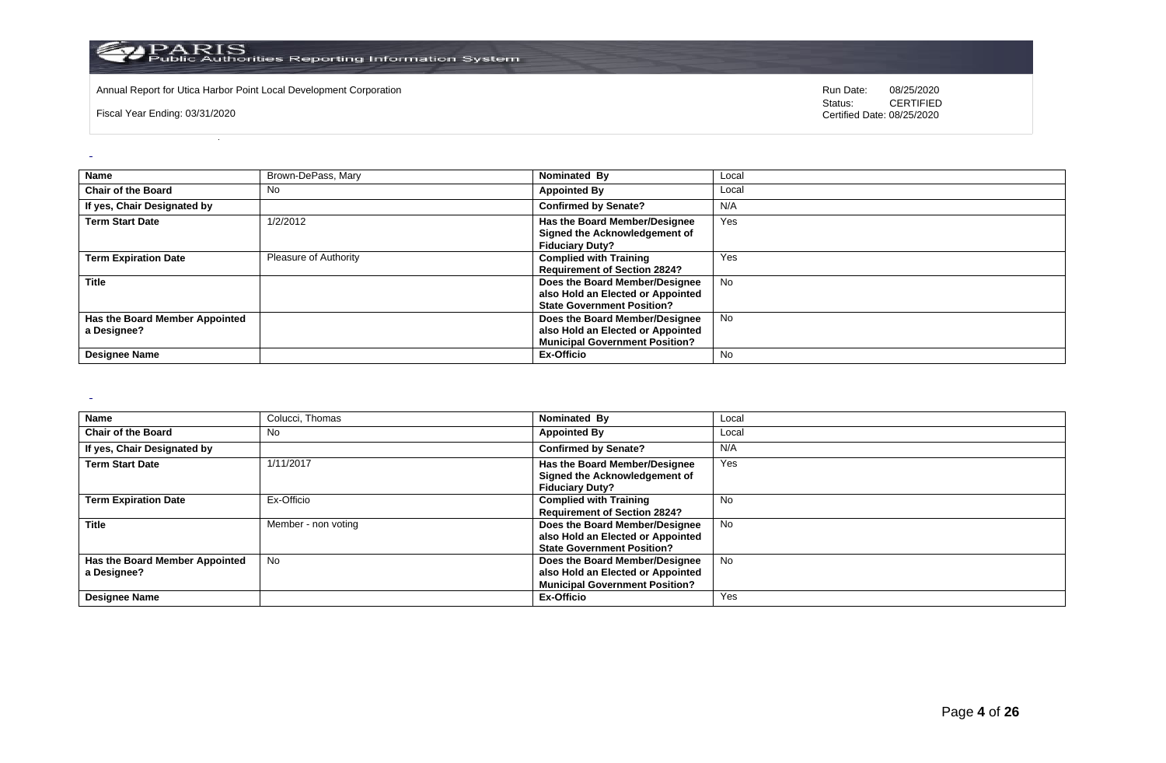

Annual Report for Utica Harbor Point Local Development Corporation **Run Date:** 08/25/2020 Run Date: 08/25/2020

Fiscal Year Ending: 03/31/2020

Status: **CERTIFIED** Certified Date: 08/25/2020

| <b>Name</b>                                   | Brown-DePass, Mary    | Nominated By                                                                                                 | Local     |
|-----------------------------------------------|-----------------------|--------------------------------------------------------------------------------------------------------------|-----------|
| <b>Chair of the Board</b>                     | No                    | <b>Appointed By</b>                                                                                          | Local     |
| If yes, Chair Designated by                   |                       | <b>Confirmed by Senate?</b>                                                                                  | N/A       |
| <b>Term Start Date</b>                        | 1/2/2012              | Has the Board Member/Designee<br>Signed the Acknowledgement of<br><b>Fiduciary Duty?</b>                     | Yes       |
| <b>Term Expiration Date</b>                   | Pleasure of Authority | <b>Complied with Training</b><br><b>Requirement of Section 2824?</b>                                         | Yes       |
| <b>Title</b>                                  |                       | Does the Board Member/Designee<br>also Hold an Elected or Appointed<br><b>State Government Position?</b>     | <b>No</b> |
| Has the Board Member Appointed<br>a Designee? |                       | Does the Board Member/Designee<br>also Hold an Elected or Appointed<br><b>Municipal Government Position?</b> | No        |
| <b>Designee Name</b>                          |                       | Ex-Officio                                                                                                   | No        |

 $\sim$ 

| <b>Name</b>                    | Colucci, Thomas     | Nominated By                          | Local     |
|--------------------------------|---------------------|---------------------------------------|-----------|
| <b>Chair of the Board</b>      | No                  | <b>Appointed By</b>                   | Local     |
| If yes, Chair Designated by    |                     | <b>Confirmed by Senate?</b>           | N/A       |
| <b>Term Start Date</b>         | 1/11/2017           | Has the Board Member/Designee         | Yes       |
|                                |                     | Signed the Acknowledgement of         |           |
|                                |                     | <b>Fiduciary Duty?</b>                |           |
| <b>Term Expiration Date</b>    | Ex-Officio          | <b>Complied with Training</b>         | <b>No</b> |
|                                |                     | <b>Requirement of Section 2824?</b>   |           |
| <b>Title</b>                   | Member - non voting | Does the Board Member/Designee        | No.       |
|                                |                     | also Hold an Elected or Appointed     |           |
|                                |                     | <b>State Government Position?</b>     |           |
| Has the Board Member Appointed | No                  | Does the Board Member/Designee        | No.       |
| a Designee?                    |                     | also Hold an Elected or Appointed     |           |
|                                |                     | <b>Municipal Government Position?</b> |           |
| <b>Designee Name</b>           |                     | Ex-Officio                            | Yes       |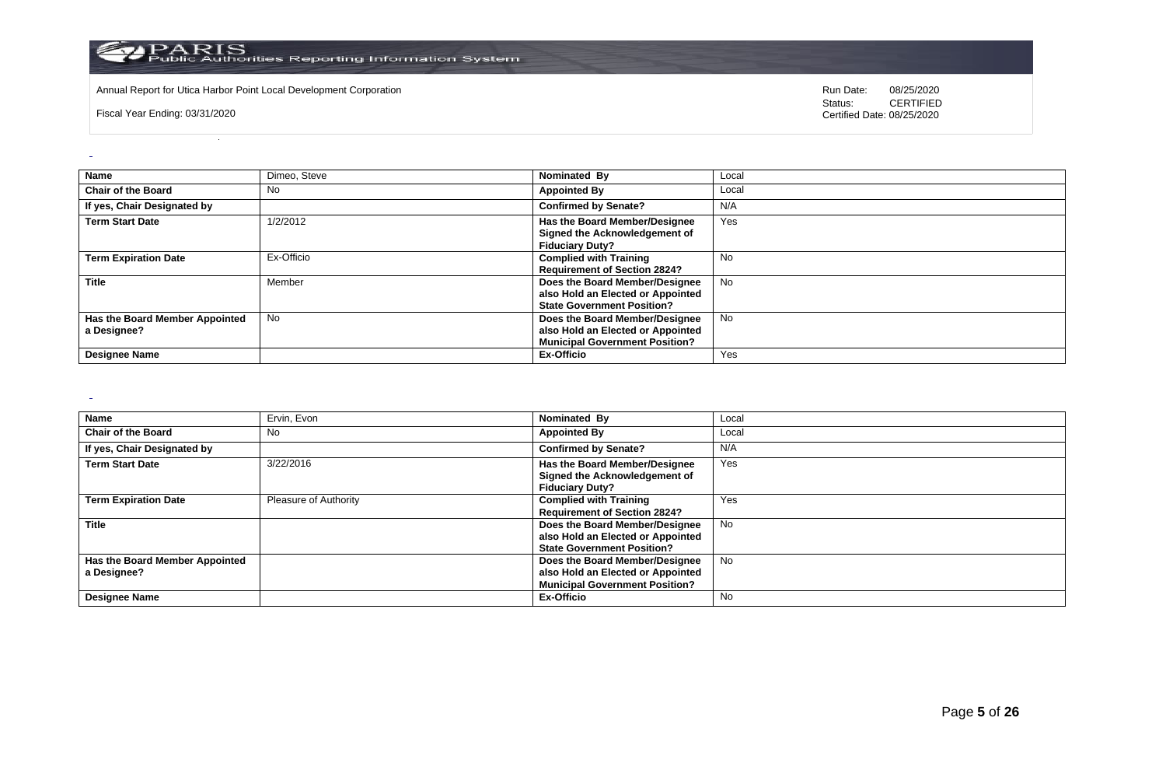

Annual Report for Utica Harbor Point Local Development Corporation **Run Date:** 08/25/2020 Run Date: 08/25/2020

Fiscal Year Ending: 03/31/2020

Status: **CERTIFIED** Certified Date: 08/25/2020

| <b>Name</b>                    | Dimeo, Steve | Nominated By                          | Local     |
|--------------------------------|--------------|---------------------------------------|-----------|
|                                |              |                                       |           |
| <b>Chair of the Board</b>      | <b>No</b>    | <b>Appointed By</b>                   | Local     |
| If yes, Chair Designated by    |              | <b>Confirmed by Senate?</b>           | N/A       |
| <b>Term Start Date</b>         | 1/2/2012     | Has the Board Member/Designee         | Yes       |
|                                |              | Signed the Acknowledgement of         |           |
|                                |              | <b>Fiduciary Duty?</b>                |           |
|                                |              |                                       |           |
| <b>Term Expiration Date</b>    | Ex-Officio   | <b>Complied with Training</b>         | No        |
|                                |              | <b>Requirement of Section 2824?</b>   |           |
| <b>Title</b>                   | Member       | Does the Board Member/Designee        | <b>No</b> |
|                                |              | also Hold an Elected or Appointed     |           |
|                                |              | <b>State Government Position?</b>     |           |
| Has the Board Member Appointed | <b>No</b>    | Does the Board Member/Designee        | <b>No</b> |
| a Designee?                    |              | also Hold an Elected or Appointed     |           |
|                                |              | <b>Municipal Government Position?</b> |           |
| <b>Designee Name</b>           |              | Ex-Officio                            | Yes       |

 $\sim$ 

| <b>Name</b>                    | Ervin, Evon           | Nominated By                          | Local     |
|--------------------------------|-----------------------|---------------------------------------|-----------|
| <b>Chair of the Board</b>      | No                    | <b>Appointed By</b>                   | Local     |
| If yes, Chair Designated by    |                       | <b>Confirmed by Senate?</b>           | N/A       |
| <b>Term Start Date</b>         | 3/22/2016             | Has the Board Member/Designee         | Yes       |
|                                |                       | Signed the Acknowledgement of         |           |
|                                |                       | <b>Fiduciary Duty?</b>                |           |
| <b>Term Expiration Date</b>    | Pleasure of Authority | <b>Complied with Training</b>         | Yes       |
|                                |                       | <b>Requirement of Section 2824?</b>   |           |
| <b>Title</b>                   |                       | Does the Board Member/Designee        | <b>No</b> |
|                                |                       | also Hold an Elected or Appointed     |           |
|                                |                       | <b>State Government Position?</b>     |           |
| Has the Board Member Appointed |                       | Does the Board Member/Designee        | No.       |
| a Designee?                    |                       | also Hold an Elected or Appointed     |           |
|                                |                       | <b>Municipal Government Position?</b> |           |
| <b>Designee Name</b>           |                       | Ex-Officio                            | No        |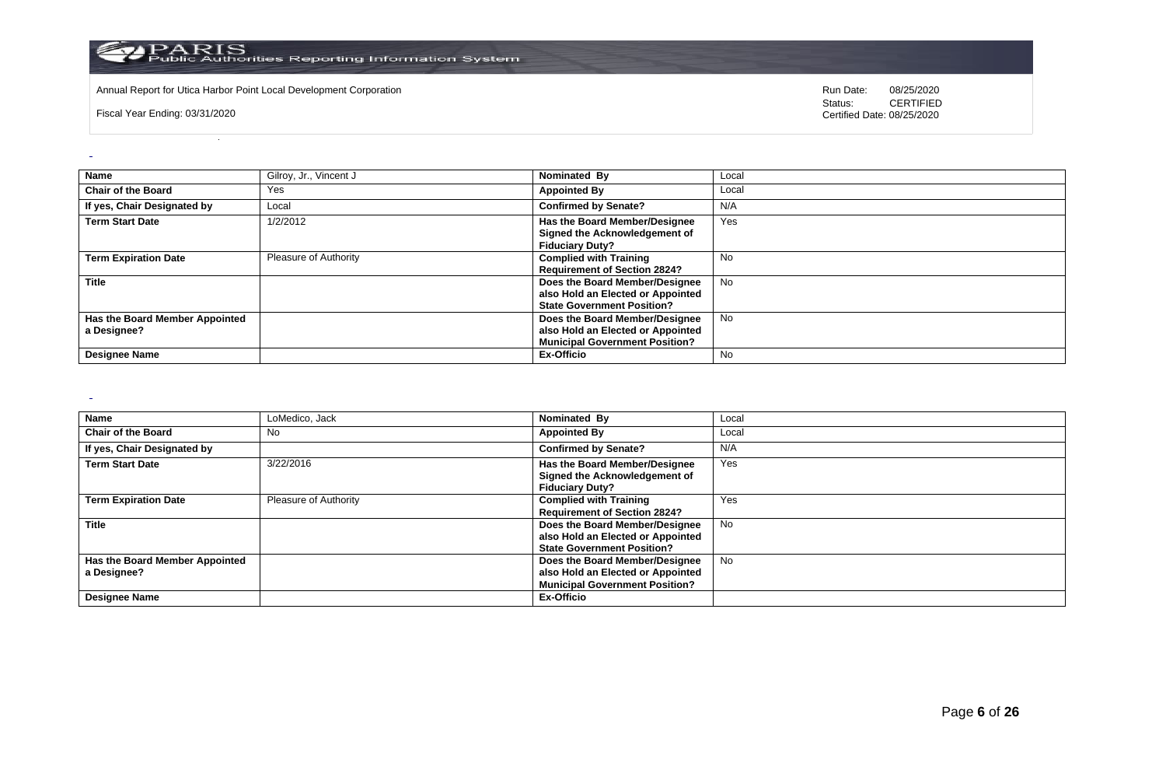

Annual Report for Utica Harbor Point Local Development Corporation **Run Date:** 08/25/2020 Run Date: 08/25/2020

Fiscal Year Ending: 03/31/2020

Status: **CERTIFIED** Certified Date: 08/25/2020

| <b>Name</b>                                   | Gilroy, Jr., Vincent J | Nominated By                                                                                                 | Local     |
|-----------------------------------------------|------------------------|--------------------------------------------------------------------------------------------------------------|-----------|
| <b>Chair of the Board</b>                     | Yes                    | <b>Appointed By</b>                                                                                          | Local     |
| If yes, Chair Designated by                   | Local                  | <b>Confirmed by Senate?</b>                                                                                  | N/A       |
| <b>Term Start Date</b>                        | 1/2/2012               | <b>Has the Board Member/Designee</b><br>Signed the Acknowledgement of<br><b>Fiduciary Duty?</b>              | Yes       |
| <b>Term Expiration Date</b>                   | Pleasure of Authority  | <b>Complied with Training</b><br><b>Requirement of Section 2824?</b>                                         | No.       |
| <b>Title</b>                                  |                        | Does the Board Member/Designee<br>also Hold an Elected or Appointed<br><b>State Government Position?</b>     | <b>No</b> |
| Has the Board Member Appointed<br>a Designee? |                        | Does the Board Member/Designee<br>also Hold an Elected or Appointed<br><b>Municipal Government Position?</b> | <b>No</b> |
| <b>Designee Name</b>                          |                        | Ex-Officio                                                                                                   | No.       |

 $\sim$ 

| <b>Name</b>                    | LoMedico, Jack        | Nominated By                          | Local     |
|--------------------------------|-----------------------|---------------------------------------|-----------|
| <b>Chair of the Board</b>      | No                    | <b>Appointed By</b>                   | Local     |
| If yes, Chair Designated by    |                       | <b>Confirmed by Senate?</b>           | N/A       |
| <b>Term Start Date</b>         | 3/22/2016             | Has the Board Member/Designee         | Yes       |
|                                |                       | Signed the Acknowledgement of         |           |
|                                |                       | <b>Fiduciary Duty?</b>                |           |
| <b>Term Expiration Date</b>    | Pleasure of Authority | <b>Complied with Training</b>         | Yes       |
|                                |                       | <b>Requirement of Section 2824?</b>   |           |
| <b>Title</b>                   |                       | Does the Board Member/Designee        | No        |
|                                |                       | also Hold an Elected or Appointed     |           |
|                                |                       | <b>State Government Position?</b>     |           |
| Has the Board Member Appointed |                       | Does the Board Member/Designee        | <b>No</b> |
| a Designee?                    |                       | also Hold an Elected or Appointed     |           |
|                                |                       | <b>Municipal Government Position?</b> |           |
| <b>Designee Name</b>           |                       | Ex-Officio                            |           |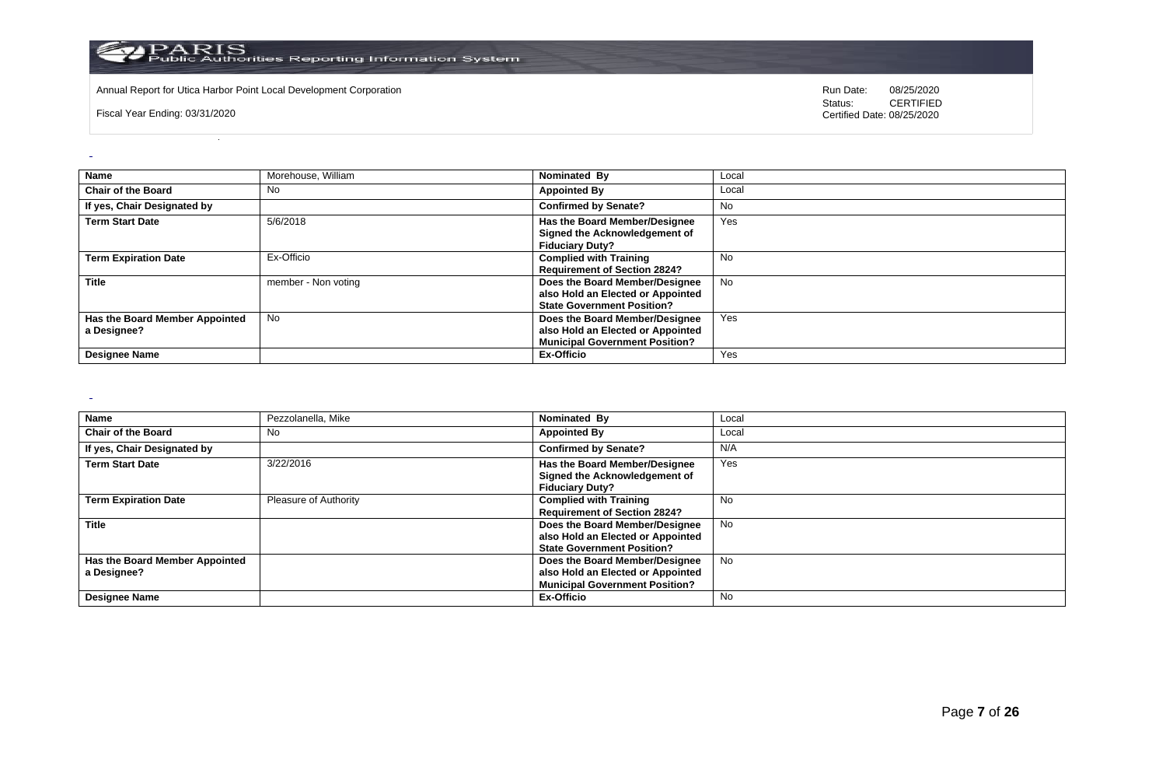

Annual Report for Utica Harbor Point Local Development Corporation **Run Date:** 08/25/2020 Run Date: 08/25/2020

Fiscal Year Ending: 03/31/2020

Status: **CERTIFIED** Certified Date: 08/25/2020

| Name                                          | Morehouse, William  | Nominated By                                                                                                 | Local     |
|-----------------------------------------------|---------------------|--------------------------------------------------------------------------------------------------------------|-----------|
| <b>Chair of the Board</b>                     | <b>No</b>           | <b>Appointed By</b>                                                                                          | Local     |
| If yes, Chair Designated by                   |                     | <b>Confirmed by Senate?</b>                                                                                  | No        |
| <b>Term Start Date</b>                        | 5/6/2018            | Has the Board Member/Designee<br>Signed the Acknowledgement of<br><b>Fiduciary Duty?</b>                     | Yes       |
| <b>Term Expiration Date</b>                   | Ex-Officio          | <b>Complied with Training</b><br><b>Requirement of Section 2824?</b>                                         | No.       |
| <b>Title</b>                                  | member - Non voting | Does the Board Member/Designee<br>also Hold an Elected or Appointed<br><b>State Government Position?</b>     | <b>No</b> |
| Has the Board Member Appointed<br>a Designee? | <b>No</b>           | Does the Board Member/Designee<br>also Hold an Elected or Appointed<br><b>Municipal Government Position?</b> | Yes       |
| <b>Designee Name</b>                          |                     | Ex-Officio                                                                                                   | Yes       |

 $\sim$ 

| <b>Name</b>                    | Pezzolanella, Mike    | Nominated By                          | Local     |
|--------------------------------|-----------------------|---------------------------------------|-----------|
| <b>Chair of the Board</b>      | No                    | <b>Appointed By</b>                   | Local     |
| If yes, Chair Designated by    |                       | <b>Confirmed by Senate?</b>           | N/A       |
| <b>Term Start Date</b>         | 3/22/2016             | Has the Board Member/Designee         | Yes       |
|                                |                       | Signed the Acknowledgement of         |           |
|                                |                       | <b>Fiduciary Duty?</b>                |           |
| <b>Term Expiration Date</b>    | Pleasure of Authority | <b>Complied with Training</b>         | <b>No</b> |
|                                |                       | <b>Requirement of Section 2824?</b>   |           |
| <b>Title</b>                   |                       | Does the Board Member/Designee        | No.       |
|                                |                       | also Hold an Elected or Appointed     |           |
|                                |                       | <b>State Government Position?</b>     |           |
| Has the Board Member Appointed |                       | Does the Board Member/Designee        | No.       |
| a Designee?                    |                       | also Hold an Elected or Appointed     |           |
|                                |                       | <b>Municipal Government Position?</b> |           |
| <b>Designee Name</b>           |                       | Ex-Officio                            | No.       |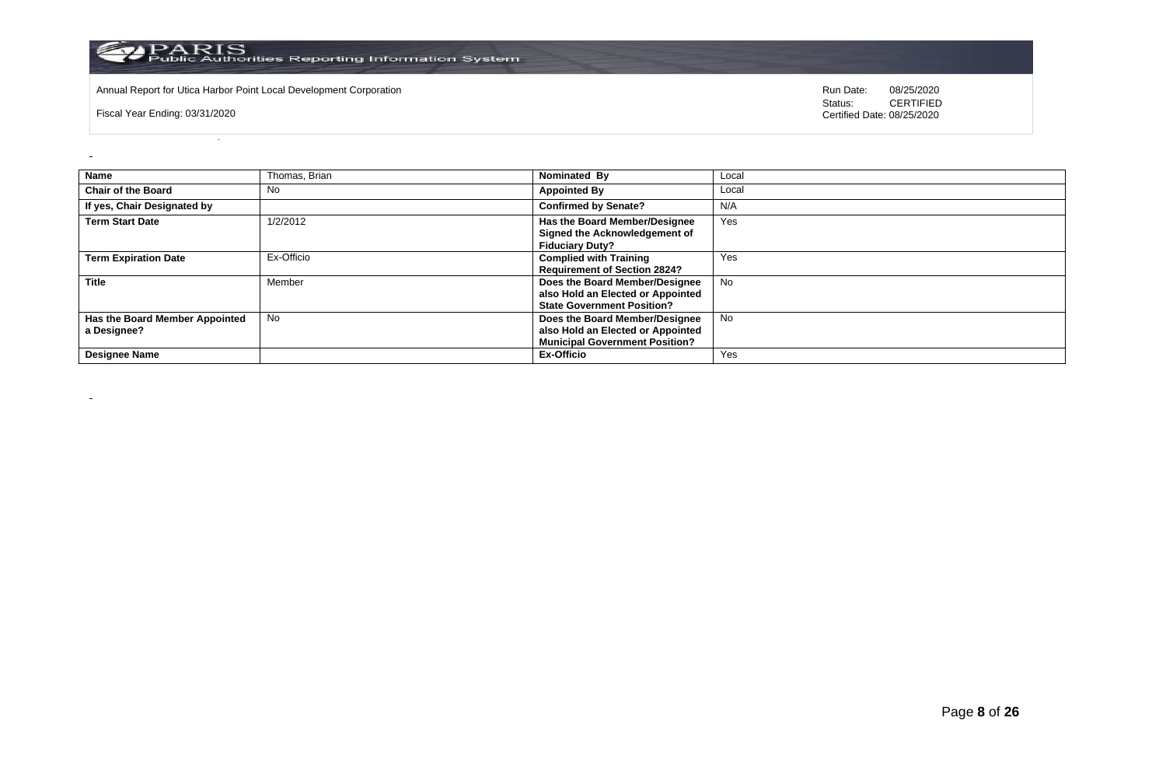

Annual Report for Utica Harbor Point Local Development Corporation **Run Date:** 08/25/2020 Run Date: 08/25/2020

Fiscal Year Ending: 03/31/2020

 $\omega$ 

 $\sim$ 

| Name                                          | Thomas, Brian | Nominated By                                                                                                 | Local     |
|-----------------------------------------------|---------------|--------------------------------------------------------------------------------------------------------------|-----------|
| <b>Chair of the Board</b>                     | <b>No</b>     | <b>Appointed By</b>                                                                                          | Local     |
| If yes, Chair Designated by                   |               | <b>Confirmed by Senate?</b>                                                                                  | N/A       |
| <b>Term Start Date</b>                        | 1/2/2012      | Has the Board Member/Designee<br>Signed the Acknowledgement of<br><b>Fiduciary Duty?</b>                     | Yes       |
| <b>Term Expiration Date</b>                   | Ex-Officio    | <b>Complied with Training</b><br><b>Requirement of Section 2824?</b>                                         | Yes       |
| <b>Title</b>                                  | Member        | Does the Board Member/Designee<br>also Hold an Elected or Appointed<br><b>State Government Position?</b>     | <b>No</b> |
| Has the Board Member Appointed<br>a Designee? | <b>No</b>     | Does the Board Member/Designee<br>also Hold an Elected or Appointed<br><b>Municipal Government Position?</b> | No        |
| <b>Designee Name</b>                          |               | <b>Ex-Officio</b>                                                                                            | Yes       |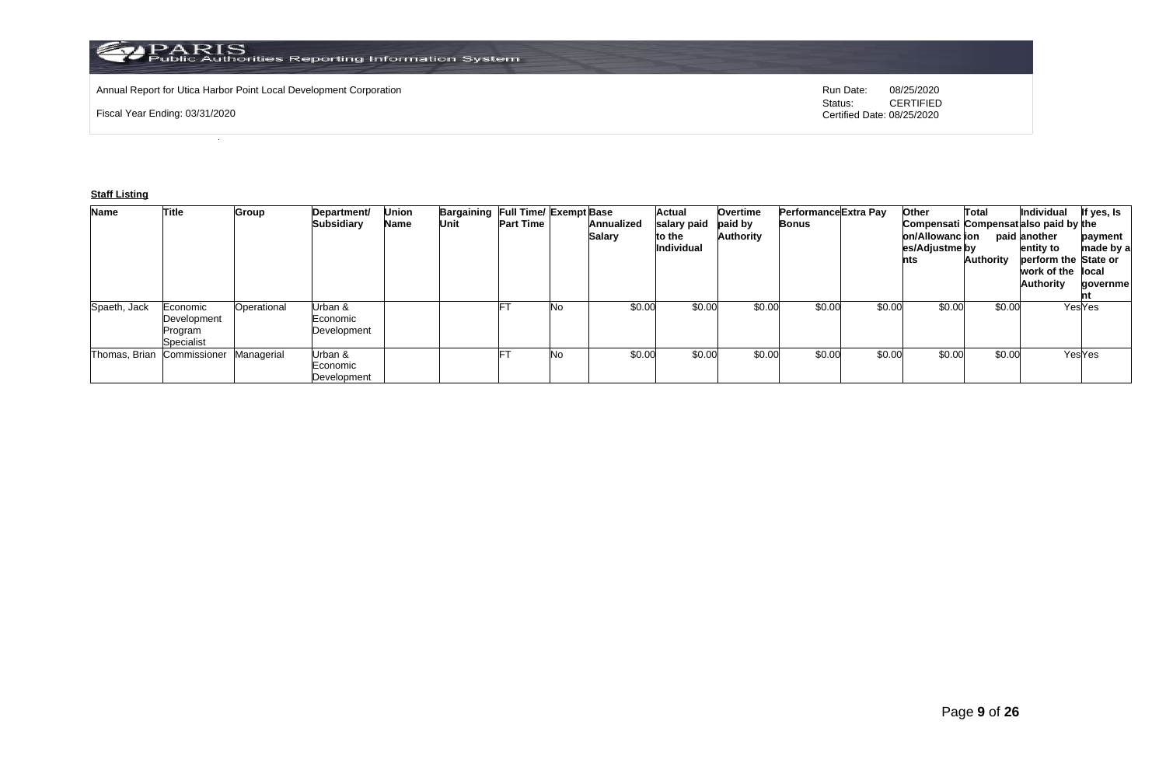Annual Report for Utica Harbor Point Local Development Corporation **Run Date:** 08/25/2020 Run Date: 08/25/2020

Fiscal Year Ending: 03/31/2020

Status: **CERTIFIED** Certified Date: 08/25/2020

## **Staff Listing**

| <b>Name</b>   | Title                                            | <b>Group</b> | Department/<br>Subsidiary          | Union<br>Name | Bargaining Full Time/ Exempt Base<br>Unit | <b>Part Time</b> |    | Annualized<br><b>Salary</b> | Actual<br>salary paid<br>to the<br>Individual | <b>Overtime</b><br>paid by<br><b>Authority</b> | Performance Extra Pay<br><b>Bonus</b> |        | Other<br>Compensati Compensat also paid by the<br>on/Allowanc lion<br>es/Adjustme by<br>nts | Total<br>Authority | Individual<br>paid another<br>entity to<br>perform the State or<br>work of the local<br><b>Authority</b> | If yes, Is<br>payment<br>made by a<br>qovernme |
|---------------|--------------------------------------------------|--------------|------------------------------------|---------------|-------------------------------------------|------------------|----|-----------------------------|-----------------------------------------------|------------------------------------------------|---------------------------------------|--------|---------------------------------------------------------------------------------------------|--------------------|----------------------------------------------------------------------------------------------------------|------------------------------------------------|
| Spaeth, Jack  | Economic<br>Development<br>Program<br>Specialist | Operational  | Urban &<br>Economic<br>Development |               |                                           |                  | No | \$0.00                      | \$0.00                                        | \$0.00                                         | \$0.00                                | \$0.00 | \$0.00                                                                                      | \$0.00             |                                                                                                          | YesYes                                         |
| Thomas, Brian | Commissioner                                     | Managerial   | Urban &<br>Economic<br>Development |               |                                           |                  | Nο | \$0.00                      | \$0.00                                        | \$0.00                                         | \$0.00                                | \$0.00 | \$0.00                                                                                      | \$0.00             |                                                                                                          | YesYes                                         |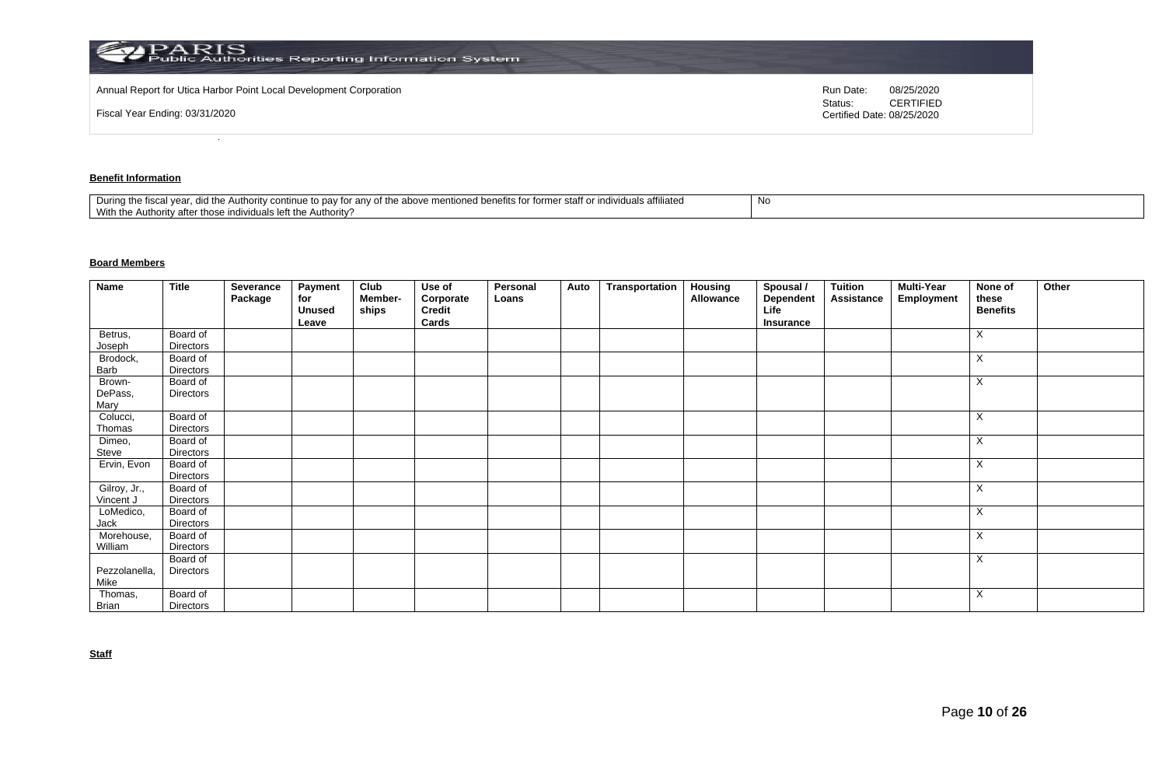| ${\bf PARS}$<br>Public Authorities Reporting Information System    |                                                           |
|--------------------------------------------------------------------|-----------------------------------------------------------|
| Annual Report for Utica Harbor Point Local Development Corporation | Run Date:<br>08/25/2020                                   |
| Fiscal Year Ending: 03/31/2020                                     | <b>CERTIFIED</b><br>Status:<br>Certified Date: 08/25/2020 |

## **Benefit Information**

| affiliated<br>staff o<br>$+$<br>During the fiscal<br>the above<br>าฑทนค<br>the Authority cor<br>r anv oi<br>individuais en<br>ונזד עי<br>to dav<br>101111 <del>0</del><br>iloneg benems ion<br>1 Y U<br>.<br>With the<br>Authority?<br>uthori<br>.v atte<br>∴ ייטו בווסו∨וסטו forr^ |  |
|-------------------------------------------------------------------------------------------------------------------------------------------------------------------------------------------------------------------------------------------------------------------------------------|--|
|-------------------------------------------------------------------------------------------------------------------------------------------------------------------------------------------------------------------------------------------------------------------------------------|--|

## **Board Members**

| Name              | <b>Title</b>          | Severance<br>Package | Payment<br>for<br><b>Unused</b> | Club<br>Member-<br>ships | Use of<br>Corporate<br>Credit | Personal<br>Loans | Auto | Transportation | Housing<br>Allowance | Spousal /<br>Dependent<br>Life | <b>Tuition</b><br>Assistance | <b>Multi-Year</b><br>Employment | None of<br>these<br><b>Benefits</b> | Other |
|-------------------|-----------------------|----------------------|---------------------------------|--------------------------|-------------------------------|-------------------|------|----------------|----------------------|--------------------------------|------------------------------|---------------------------------|-------------------------------------|-------|
|                   |                       |                      | Leave                           |                          | Cards                         |                   |      |                |                      | Insurance                      |                              |                                 |                                     |       |
| Betrus,           | Board of              |                      |                                 |                          |                               |                   |      |                |                      |                                |                              |                                 | X                                   |       |
| Joseph            | Directors             |                      |                                 |                          |                               |                   |      |                |                      |                                |                              |                                 |                                     |       |
| Brodock,<br>Barb  | Board of<br>Directors |                      |                                 |                          |                               |                   |      |                |                      |                                |                              |                                 | X                                   |       |
|                   |                       |                      |                                 |                          |                               |                   |      |                |                      |                                |                              |                                 |                                     |       |
| Brown-<br>DePass, | Board of<br>Directors |                      |                                 |                          |                               |                   |      |                |                      |                                |                              |                                 | Χ                                   |       |
| Mary              |                       |                      |                                 |                          |                               |                   |      |                |                      |                                |                              |                                 |                                     |       |
| Colucci,          | Board of              |                      |                                 |                          |                               |                   |      |                |                      |                                |                              |                                 | Χ                                   |       |
| Thomas            | Directors             |                      |                                 |                          |                               |                   |      |                |                      |                                |                              |                                 |                                     |       |
| Dimeo,            | Board of              |                      |                                 |                          |                               |                   |      |                |                      |                                |                              |                                 | X                                   |       |
| Steve             | Directors             |                      |                                 |                          |                               |                   |      |                |                      |                                |                              |                                 |                                     |       |
| Ervin, Evon       | Board of              |                      |                                 |                          |                               |                   |      |                |                      |                                |                              |                                 | X                                   |       |
|                   | <b>Directors</b>      |                      |                                 |                          |                               |                   |      |                |                      |                                |                              |                                 |                                     |       |
| Gilroy, Jr.,      | Board of              |                      |                                 |                          |                               |                   |      |                |                      |                                |                              |                                 | X                                   |       |
| Vincent J         | Directors             |                      |                                 |                          |                               |                   |      |                |                      |                                |                              |                                 |                                     |       |
| LoMedico,         | Board of              |                      |                                 |                          |                               |                   |      |                |                      |                                |                              |                                 | X                                   |       |
| Jack              | Directors             |                      |                                 |                          |                               |                   |      |                |                      |                                |                              |                                 |                                     |       |
| Morehouse,        | Board of              |                      |                                 |                          |                               |                   |      |                |                      |                                |                              |                                 | X                                   |       |
| William           | <b>Directors</b>      |                      |                                 |                          |                               |                   |      |                |                      |                                |                              |                                 |                                     |       |
|                   | Board of              |                      |                                 |                          |                               |                   |      |                |                      |                                |                              |                                 | X                                   |       |
| Pezzolanella,     | Directors             |                      |                                 |                          |                               |                   |      |                |                      |                                |                              |                                 |                                     |       |
| Mike              |                       |                      |                                 |                          |                               |                   |      |                |                      |                                |                              |                                 |                                     |       |
| Thomas,           | Board of              |                      |                                 |                          |                               |                   |      |                |                      |                                |                              |                                 | Χ                                   |       |
| Brian             | Directors             |                      |                                 |                          |                               |                   |      |                |                      |                                |                              |                                 |                                     |       |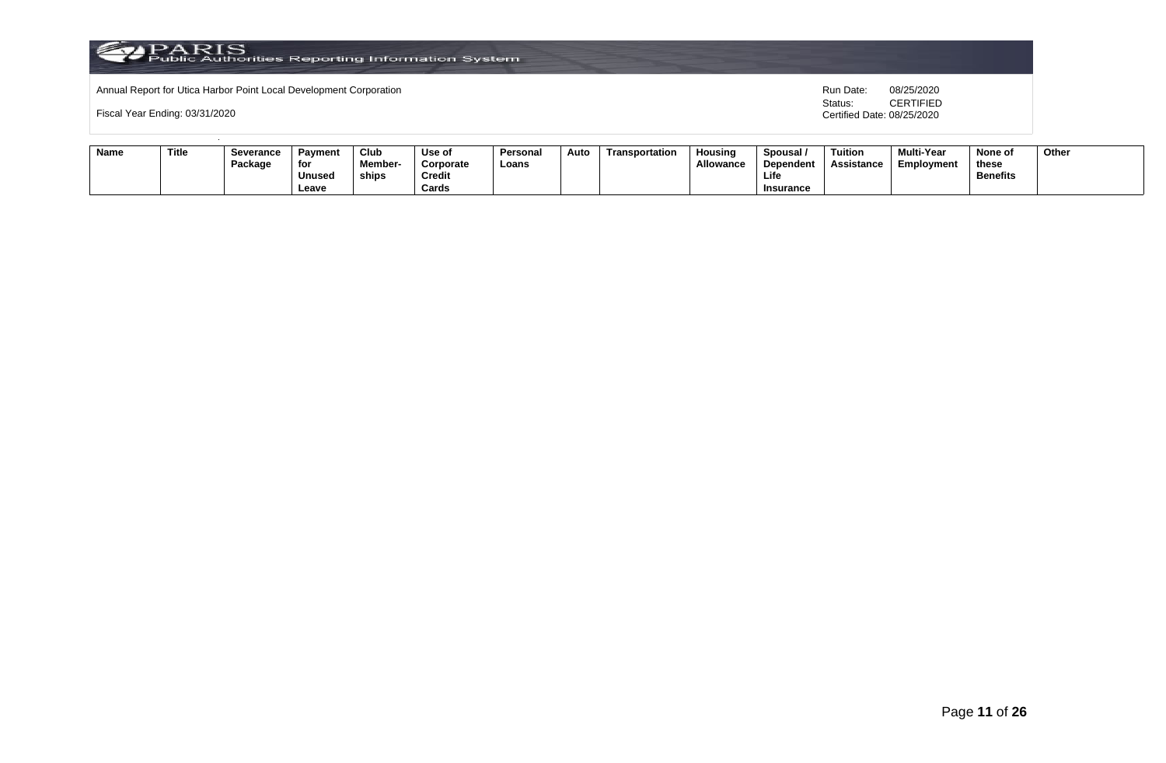

Annual Report for Utica Harbor Point Local Development Corporation **Run Date:** 08/25/2020 Run Date: 08/25/2020

Fiscal Year Ending: 03/31/2020

| Name | Title | <b>Severance</b> | Payment       | Club          | Use of    | Persona | Auto | Transportation | Housina         | Spousal          | Tuition    | <b>Multi-Year</b> | None of         | Other |
|------|-------|------------------|---------------|---------------|-----------|---------|------|----------------|-----------------|------------------|------------|-------------------|-----------------|-------|
|      |       | Package          | for           | <b>Member</b> | Corporate | Loans   |      |                | <b>Allowanc</b> | Dependent        | Assistance | Employment        | these           |       |
|      |       |                  | <b>Unused</b> | ships         | Credit    |         |      |                |                 | Life             |            |                   | <b>Benefits</b> |       |
|      |       |                  | Leave         |               | Cards     |         |      |                |                 | <b>Insurance</b> |            |                   |                 |       |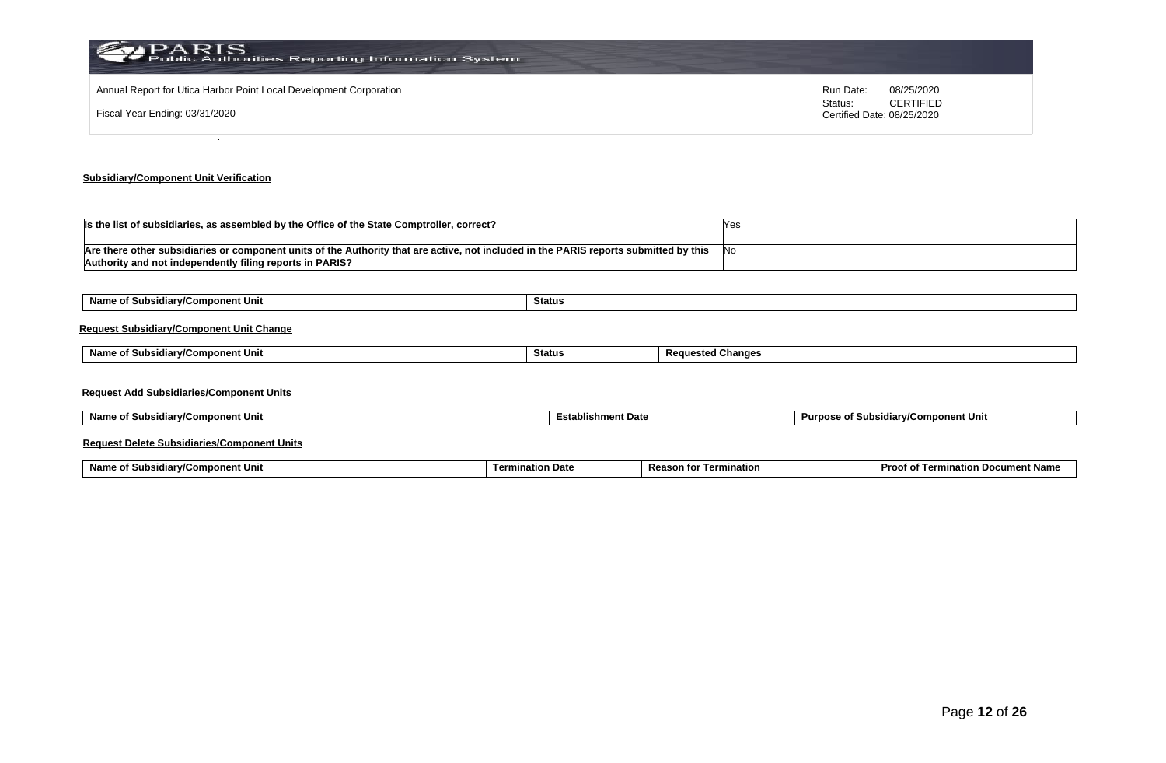| PARIS<br>Public Authorities Reporting Information System           |                                             |
|--------------------------------------------------------------------|---------------------------------------------|
| Annual Report for Utica Harbor Point Local Development Corporation | Run Date:<br>08/25/2020<br><b>CERTIFIED</b> |
| Fiscal Year Ending: 03/31/2020                                     | Status:<br>Certified Date: 08/25/2020       |
|                                                                    |                                             |

# **Subsidiary/Component Unit Verification**

| Is the list of subsidiaries, as assembled by the Office of the State Comptroller, correct?                                                                                                        |      |
|---------------------------------------------------------------------------------------------------------------------------------------------------------------------------------------------------|------|
| Are there other subsidiaries or component units of the Authority that are active, not included in the PARIS reports submitted by this<br>Authority and not independently filing reports in PARIS? | - No |

| Name of Subsidiary/Component Unit               | Status        |                          |  |  |  |  |  |  |  |  |
|-------------------------------------------------|---------------|--------------------------|--|--|--|--|--|--|--|--|
| <b>Request Subsidiary/Component Unit Change</b> |               |                          |  |  |  |  |  |  |  |  |
| Name of Subsidiary/Component Unit               | <b>Status</b> | <b>Requested Changes</b> |  |  |  |  |  |  |  |  |
|                                                 |               |                          |  |  |  |  |  |  |  |  |

| Name of Subsidiary/Component Unit | <b>Establishment Date</b> | Purpose of Subsidiary/Component Unit |
|-----------------------------------|---------------------------|--------------------------------------|
|                                   |                           |                                      |

## **Request Delete Subsidiaries/Component Units**

| Name o<br>omponent Unit<br>. .<br><b>∍idiar</b> w‴<br><b>SUDSK</b> | tion Date<br>Termi | Reaso<br>mination<br>τοι | Proc.<br>. Docur<br>າent Name<br>natioi.<br>$\overline{a}$<br>ന |
|--------------------------------------------------------------------|--------------------|--------------------------|-----------------------------------------------------------------|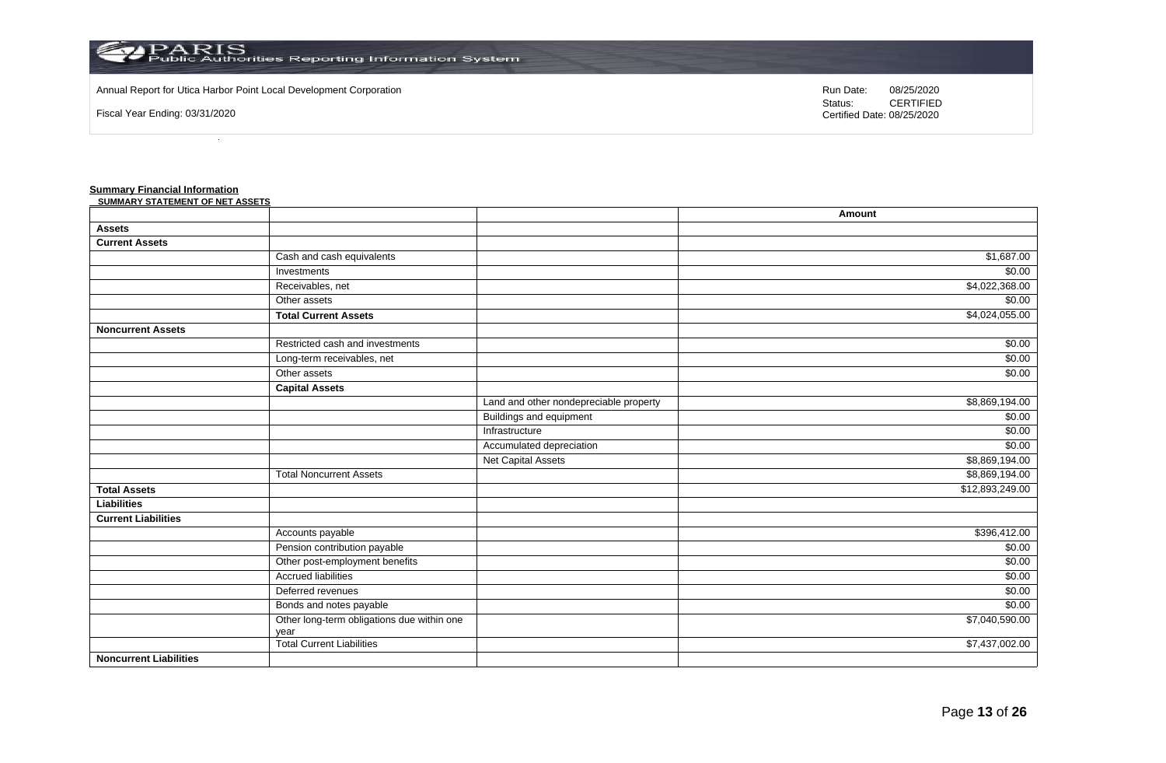

Annual Report for Utica Harbor Point Local Development Corporation **Run Date:** 08/25/2020 Run Date: 08/25/2020

Fiscal Year Ending: 03/31/2020

Status: **CERTIFIED** Certified Date: 08/25/2020

#### **Summary Financial Information**

| <b>SUMMARY STATEMENT OF NET ASSETS</b> |                                                    |                                        |                 |
|----------------------------------------|----------------------------------------------------|----------------------------------------|-----------------|
|                                        |                                                    |                                        | Amount          |
| <b>Assets</b>                          |                                                    |                                        |                 |
| <b>Current Assets</b>                  |                                                    |                                        |                 |
|                                        | Cash and cash equivalents                          |                                        | \$1,687.00      |
|                                        | Investments                                        |                                        | \$0.00          |
|                                        | Receivables, net                                   |                                        | \$4,022,368.00  |
|                                        | Other assets                                       |                                        | \$0.00          |
|                                        | <b>Total Current Assets</b>                        |                                        | \$4,024,055.00  |
| <b>Noncurrent Assets</b>               |                                                    |                                        |                 |
|                                        | Restricted cash and investments                    |                                        | \$0.00          |
|                                        | Long-term receivables, net                         |                                        | \$0.00          |
|                                        | Other assets                                       |                                        | \$0.00          |
|                                        | <b>Capital Assets</b>                              |                                        |                 |
|                                        |                                                    | Land and other nondepreciable property | \$8,869,194.00  |
|                                        |                                                    | <b>Buildings and equipment</b>         | \$0.00          |
|                                        |                                                    | Infrastructure                         | \$0.00          |
|                                        |                                                    | Accumulated depreciation               | \$0.00          |
|                                        |                                                    | <b>Net Capital Assets</b>              | \$8,869,194.00  |
|                                        | <b>Total Noncurrent Assets</b>                     |                                        | \$8,869,194.00  |
| <b>Total Assets</b>                    |                                                    |                                        | \$12,893,249.00 |
| <b>Liabilities</b>                     |                                                    |                                        |                 |
| <b>Current Liabilities</b>             |                                                    |                                        |                 |
|                                        | Accounts payable                                   |                                        | \$396,412.00    |
|                                        | Pension contribution payable                       |                                        | \$0.00          |
|                                        | Other post-employment benefits                     |                                        | \$0.00          |
|                                        | <b>Accrued liabilities</b>                         |                                        | \$0.00          |
|                                        | Deferred revenues                                  |                                        | \$0.00          |
|                                        | Bonds and notes payable                            |                                        | \$0.00          |
|                                        | Other long-term obligations due within one<br>year |                                        | \$7,040,590.00  |
|                                        | Total Current Liabilities                          |                                        | \$7,437,002.00  |
| <b>Noncurrent Liabilities</b>          |                                                    |                                        |                 |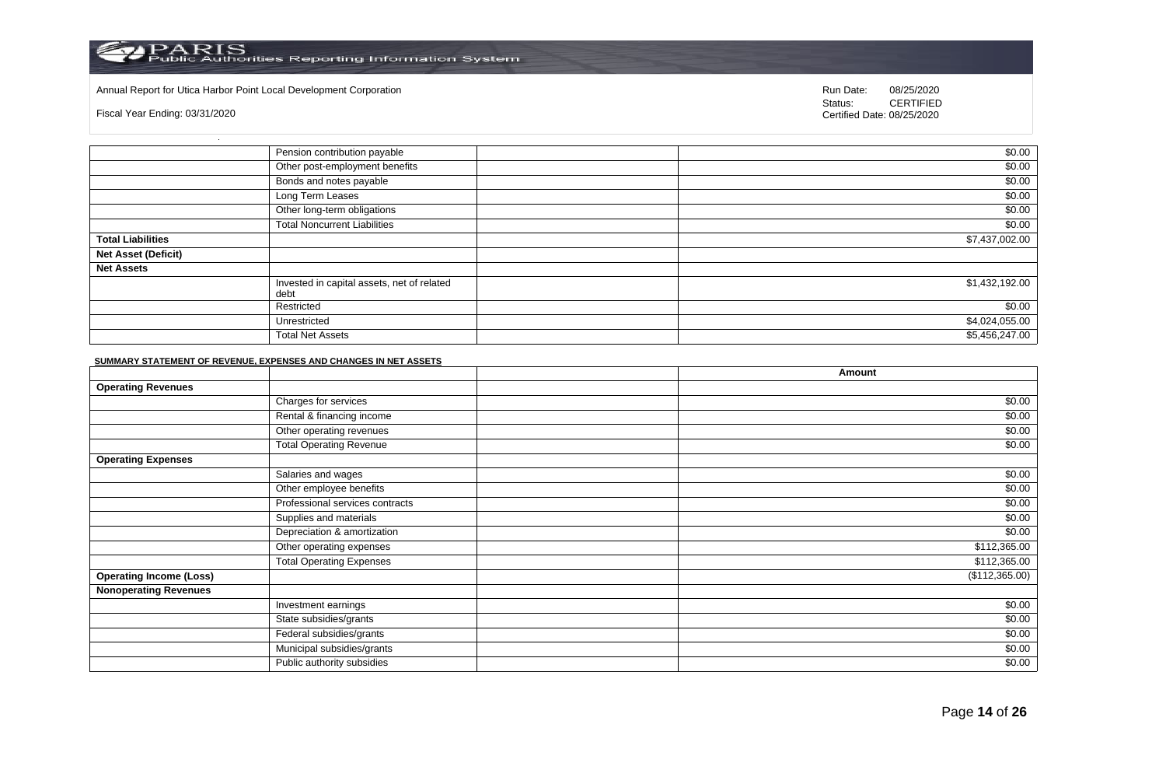#### Annual Report for Utica Harbor Point Local Development Corporation **Run Date:** 08/25/2020 Run Date: 08/25/2020

Fiscal Year Ending: 03/31/2020

Status: **CERTIFIED** Certified Date: 08/25/2020

|                            | Pension contribution payable                       | \$0.00         |
|----------------------------|----------------------------------------------------|----------------|
|                            | Other post-employment benefits                     | \$0.00         |
|                            | Bonds and notes payable                            | \$0.00         |
|                            | Long Term Leases                                   | \$0.00         |
|                            | Other long-term obligations                        | \$0.00         |
|                            | <b>Total Noncurrent Liabilities</b>                | \$0.00         |
| <b>Total Liabilities</b>   |                                                    | \$7,437,002.00 |
| <b>Net Asset (Deficit)</b> |                                                    |                |
| <b>Net Assets</b>          |                                                    |                |
|                            | Invested in capital assets, net of related<br>debt | \$1,432,192.00 |
|                            | Restricted                                         | \$0.00         |
|                            | Unrestricted                                       | \$4,024,055.00 |
|                            | <b>Total Net Assets</b>                            | \$5,456,247.00 |

#### **SUMMARY STATEMENT OF REVENUE, EXPENSES AND CHANGES IN NET ASSETS**

|                                |                                 | Amount         |
|--------------------------------|---------------------------------|----------------|
| <b>Operating Revenues</b>      |                                 |                |
|                                | Charges for services            | \$0.00         |
|                                | Rental & financing income       | \$0.00         |
|                                | Other operating revenues        | \$0.00         |
|                                | <b>Total Operating Revenue</b>  | \$0.00         |
| <b>Operating Expenses</b>      |                                 |                |
|                                | Salaries and wages              | \$0.00         |
|                                | Other employee benefits         | \$0.00         |
|                                | Professional services contracts | \$0.00         |
|                                | Supplies and materials          | \$0.00         |
|                                | Depreciation & amortization     | \$0.00         |
|                                | Other operating expenses        | \$112,365.00   |
|                                | <b>Total Operating Expenses</b> | \$112,365.00   |
| <b>Operating Income (Loss)</b> |                                 | (\$112,365.00) |
| <b>Nonoperating Revenues</b>   |                                 |                |
|                                | Investment earnings             | \$0.00         |
|                                | State subsidies/grants          | \$0.00         |
|                                | Federal subsidies/grants        | \$0.00         |
|                                | Municipal subsidies/grants      | \$0.00         |
|                                | Public authority subsidies      | \$0.00         |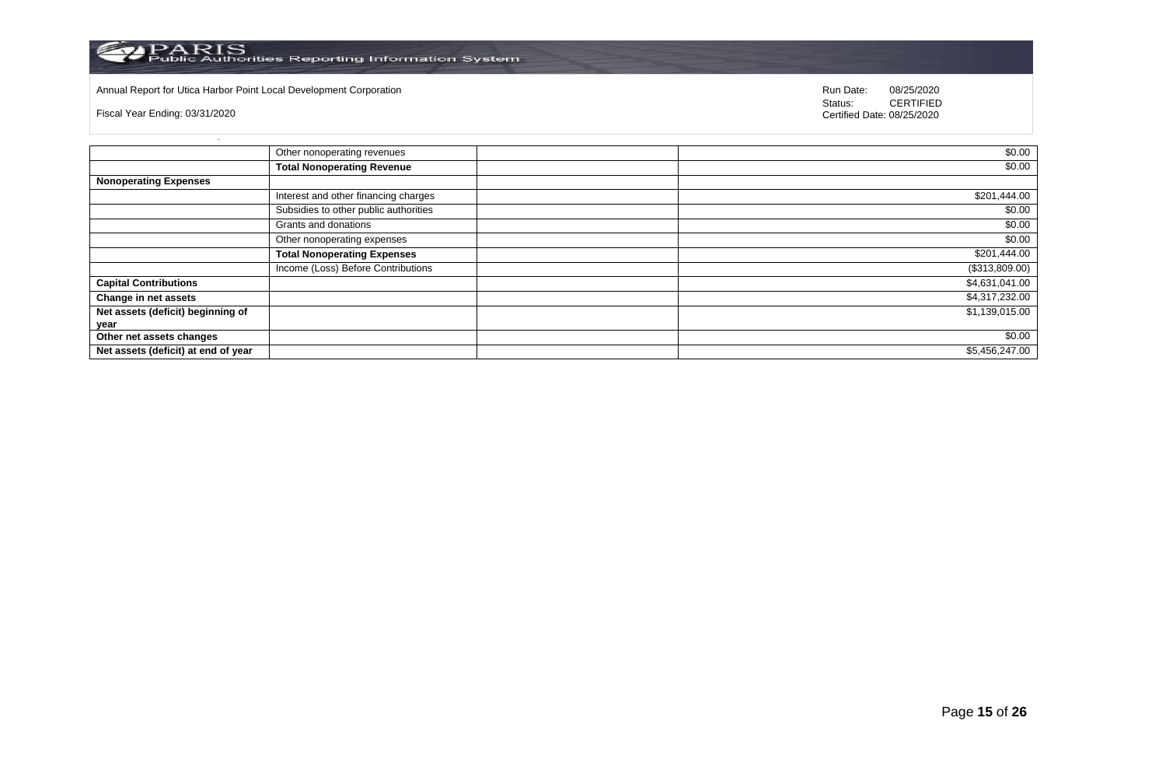

## Annual Report for Utica Harbor Point Local Development Corporation **Run Date:** 08/25/2020 Run Date: 08/25/2020

Fiscal Year Ending: 03/31/2020

|                                     | Other nonoperating revenues           | \$0.00         |
|-------------------------------------|---------------------------------------|----------------|
|                                     | <b>Total Nonoperating Revenue</b>     | \$0.00         |
| <b>Nonoperating Expenses</b>        |                                       |                |
|                                     | Interest and other financing charges  | \$201,444.00   |
|                                     | Subsidies to other public authorities | \$0.00         |
|                                     | Grants and donations                  | \$0.00         |
|                                     | Other nonoperating expenses           | \$0.00         |
|                                     | <b>Total Nonoperating Expenses</b>    | \$201,444.00   |
|                                     | Income (Loss) Before Contributions    | (\$313,809.00) |
| <b>Capital Contributions</b>        |                                       | \$4,631,041.00 |
| Change in net assets                |                                       | \$4,317,232.00 |
| Net assets (deficit) beginning of   |                                       | \$1,139,015.00 |
| year                                |                                       |                |
| Other net assets changes            |                                       | \$0.00         |
| Net assets (deficit) at end of year |                                       | \$5,456,247.00 |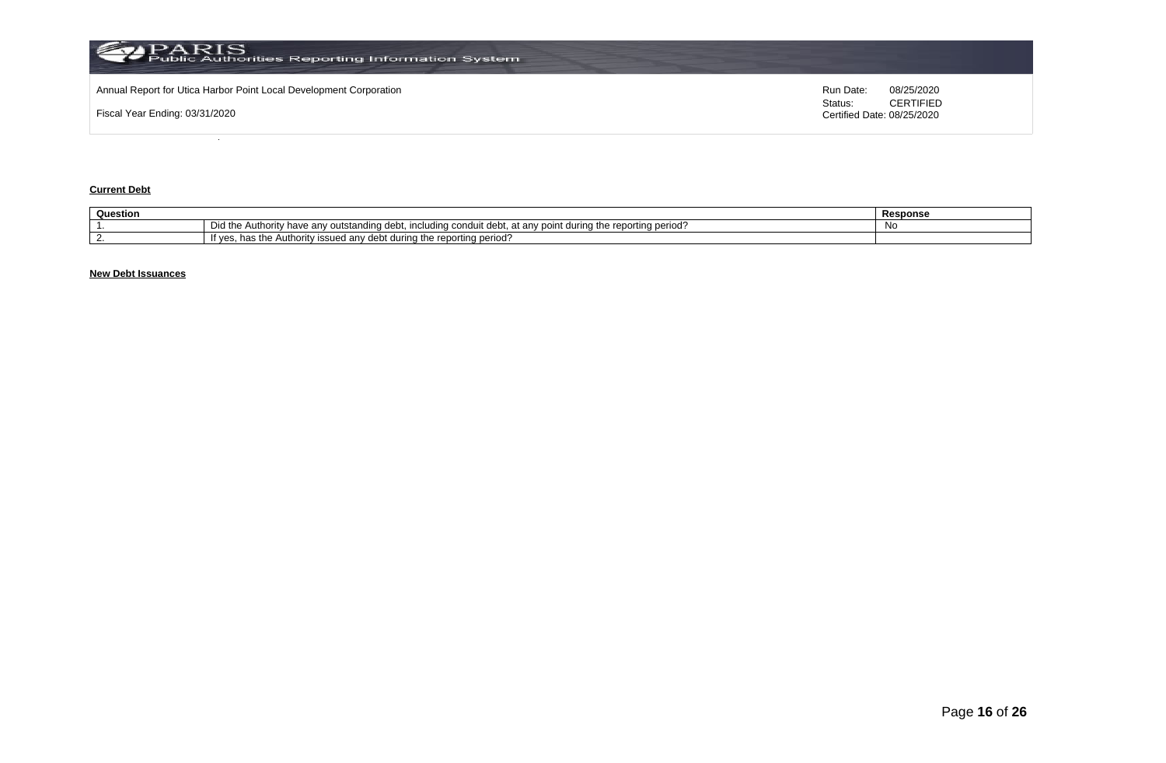

## **Current Debt**

| Question |                                                                                                                                                                         | Response |
|----------|-------------------------------------------------------------------------------------------------------------------------------------------------------------------------|----------|
|          | — Did thr<br>⊧the reporting period′<br>Authority have any .<br>/ outstandıng debt.<br>ant during <sup>#</sup><br>$A \cap B$<br>including<br>at an∖<br>conduit<br>$\sim$ | N        |
|          | ting period.<br>$\alpha$ during the report<br>a Authority issued any debt.<br>has the<br>vv,                                                                            |          |

## **New Debt Issuances**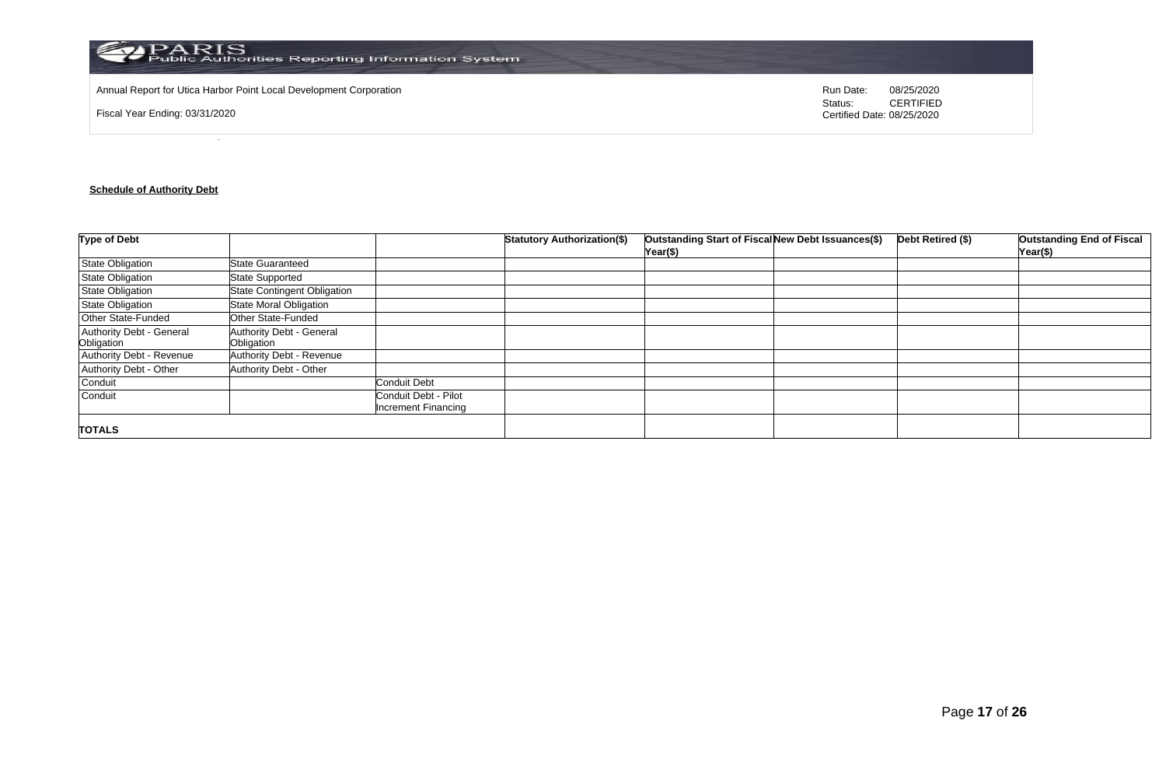

Annual Report for Utica Harbor Point Local Development Corporation **Run Date:** 08/25/2020 Run Date: 08/25/2020

Fiscal Year Ending: 03/31/2020

Status: **CERTIFIED** Certified Date: 08/25/2020

## **Schedule of Authority Debt**

| <b>Type of Debt</b>                    |                                        |                                                    | <b>Statutory Authorization(\$)</b> | Outstanding Start of Fiscal New Debt Issuances(\$)<br>Year(\$) | Debt Retired (\$) | <b>Outstanding End of Fiscal</b><br>Year(\$) |
|----------------------------------------|----------------------------------------|----------------------------------------------------|------------------------------------|----------------------------------------------------------------|-------------------|----------------------------------------------|
| <b>State Obligation</b>                | <b>State Guaranteed</b>                |                                                    |                                    |                                                                |                   |                                              |
| <b>State Obligation</b>                | <b>State Supported</b>                 |                                                    |                                    |                                                                |                   |                                              |
| <b>State Obligation</b>                | <b>State Contingent Obligation</b>     |                                                    |                                    |                                                                |                   |                                              |
| <b>State Obligation</b>                | <b>State Moral Obligation</b>          |                                                    |                                    |                                                                |                   |                                              |
| Other State-Funded                     | Other State-Funded                     |                                                    |                                    |                                                                |                   |                                              |
| Authority Debt - General<br>Obligation | Authority Debt - General<br>Obligation |                                                    |                                    |                                                                |                   |                                              |
| Authority Debt - Revenue               | Authority Debt - Revenue               |                                                    |                                    |                                                                |                   |                                              |
| Authority Debt - Other                 | <b>Authority Debt - Other</b>          |                                                    |                                    |                                                                |                   |                                              |
| Conduit                                |                                        | <b>Conduit Debt</b>                                |                                    |                                                                |                   |                                              |
| Conduit                                |                                        | Conduit Debt - Pilot<br><b>Increment Financing</b> |                                    |                                                                |                   |                                              |
| <b>TOTALS</b>                          |                                        |                                                    |                                    |                                                                |                   |                                              |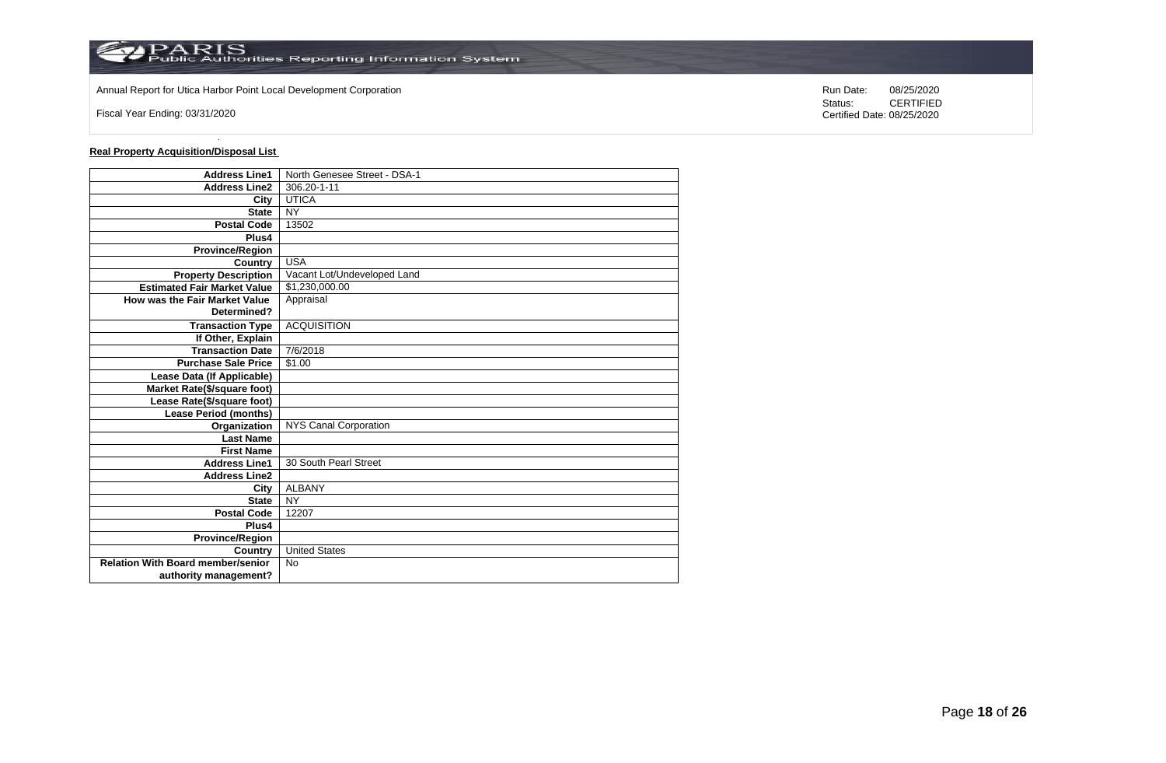

Annual Report for Utica Harbor Point Local Development Corporation **Run Date:** 08/25/2020 Run Date: 08/25/2020

Fiscal Year Ending: 03/31/2020

**Real Property Acquisition/Disposal List** 

| <b>Address Line1</b>                     | North Genesee Street - DSA-1 |
|------------------------------------------|------------------------------|
| <b>Address Line2</b>                     | 306.20-1-11                  |
| City                                     | <b>UTICA</b>                 |
| <b>State</b>                             | <b>NY</b>                    |
| <b>Postal Code</b>                       | 13502                        |
| Plus4                                    |                              |
| <b>Province/Region</b>                   |                              |
| Country                                  | <b>USA</b>                   |
| <b>Property Description</b>              | Vacant Lot/Undeveloped Land  |
| <b>Estimated Fair Market Value</b>       | \$1,230,000.00               |
| How was the Fair Market Value            | Appraisal                    |
| Determined?                              |                              |
| <b>Transaction Type</b>                  | <b>ACQUISITION</b>           |
| If Other, Explain                        |                              |
| <b>Transaction Date</b>                  | 7/6/2018                     |
| <b>Purchase Sale Price</b>               | \$1.00                       |
| Lease Data (If Applicable)               |                              |
| Market Rate(\$/square foot)              |                              |
| Lease Rate(\$/square foot)               |                              |
| <b>Lease Period (months)</b>             |                              |
| Organization                             | NYS Canal Corporation        |
| <b>Last Name</b>                         |                              |
| <b>First Name</b>                        |                              |
| <b>Address Line1</b>                     | 30 South Pearl Street        |
| <b>Address Line2</b>                     |                              |
| City                                     | <b>ALBANY</b>                |
| <b>State</b>                             | <b>NY</b>                    |
| <b>Postal Code</b>                       | 12207                        |
| Plus4                                    |                              |
| <b>Province/Region</b>                   |                              |
| Country                                  | <b>United States</b>         |
| <b>Relation With Board member/senior</b> | <b>No</b>                    |
| authority management?                    |                              |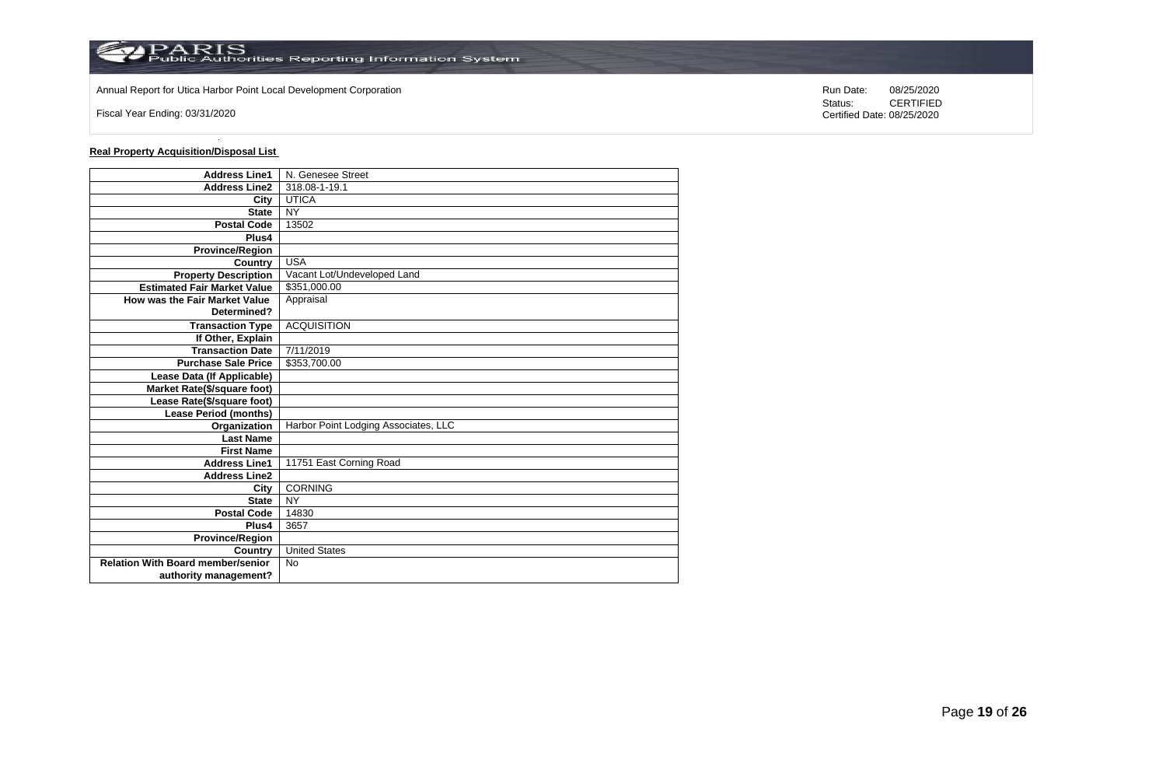

Annual Report for Utica Harbor Point Local Development Corporation **Run Date:** 08/25/2020 Run Date: 08/25/2020

Fiscal Year Ending: 03/31/2020

**Real Property Acquisition/Disposal List** 

| <b>Address Line1</b>                     | N. Genesee Street                    |
|------------------------------------------|--------------------------------------|
| <b>Address Line2</b>                     | 318.08-1-19.1                        |
| City                                     | <b>UTICA</b>                         |
| <b>State</b>                             | <b>NY</b>                            |
| <b>Postal Code</b>                       | 13502                                |
| Plus4                                    |                                      |
| <b>Province/Region</b>                   |                                      |
| Country                                  | <b>USA</b>                           |
| <b>Property Description</b>              | Vacant Lot/Undeveloped Land          |
| <b>Estimated Fair Market Value</b>       | \$351,000.00                         |
| How was the Fair Market Value            | Appraisal                            |
| Determined?                              |                                      |
| <b>Transaction Type</b>                  | <b>ACQUISITION</b>                   |
| If Other, Explain                        |                                      |
| <b>Transaction Date</b>                  | 7/11/2019                            |
| <b>Purchase Sale Price</b>               | \$353,700.00                         |
| Lease Data (If Applicable)               |                                      |
| Market Rate(\$/square foot)              |                                      |
| Lease Rate(\$/square foot)               |                                      |
| Lease Period (months)                    |                                      |
| Organization                             | Harbor Point Lodging Associates, LLC |
| <b>Last Name</b>                         |                                      |
| <b>First Name</b>                        |                                      |
| <b>Address Line1</b>                     | 11751 East Corning Road              |
| <b>Address Line2</b>                     |                                      |
| City                                     | <b>CORNING</b>                       |
| <b>State</b>                             | <b>NY</b>                            |
| <b>Postal Code</b>                       | 14830                                |
| Plus4                                    | 3657                                 |
| <b>Province/Region</b>                   |                                      |
| Country                                  | <b>United States</b>                 |
| <b>Relation With Board member/senior</b> | <b>No</b>                            |
| authority management?                    |                                      |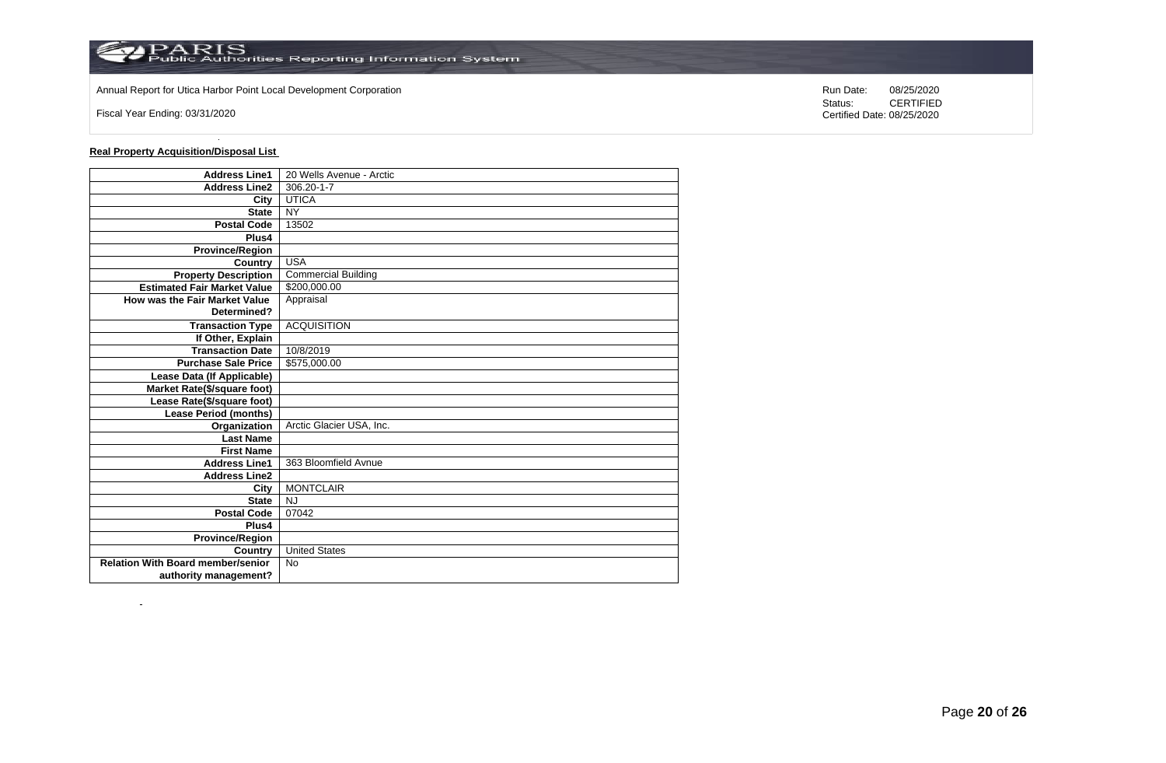

Annual Report for Utica Harbor Point Local Development Corporation **Run Date:** 08/25/2020 Run Date: 08/25/2020

Fiscal Year Ending: 03/31/2020

 $\sim$ 

**Real Property Acquisition/Disposal List** 

| <b>Address Line1</b>                     | 20 Wells Avenue - Arctic   |
|------------------------------------------|----------------------------|
| <b>Address Line2</b>                     | 306.20-1-7                 |
| City                                     | <b>UTICA</b>               |
| <b>State</b>                             | <b>NY</b>                  |
| <b>Postal Code</b>                       | 13502                      |
| Plus4                                    |                            |
| <b>Province/Region</b>                   |                            |
| Country                                  | <b>USA</b>                 |
| <b>Property Description</b>              | <b>Commercial Building</b> |
| <b>Estimated Fair Market Value</b>       | \$200,000.00               |
| How was the Fair Market Value            | Appraisal                  |
| Determined?                              |                            |
| <b>Transaction Type</b>                  | <b>ACQUISITION</b>         |
| If Other, Explain                        |                            |
| <b>Transaction Date</b>                  | 10/8/2019                  |
| <b>Purchase Sale Price</b>               | \$575,000.00               |
| Lease Data (If Applicable)               |                            |
| Market Rate(\$/square foot)              |                            |
| Lease Rate(\$/square foot)               |                            |
| <b>Lease Period (months)</b>             |                            |
| Organization                             | Arctic Glacier USA, Inc.   |
| <b>Last Name</b>                         |                            |
| <b>First Name</b>                        |                            |
| <b>Address Line1</b>                     | 363 Bloomfield Avnue       |
| <b>Address Line2</b>                     |                            |
| City                                     | <b>MONTCLAIR</b>           |
| <b>State</b>                             | <b>NJ</b>                  |
| <b>Postal Code</b>                       | 07042                      |
| Plus4                                    |                            |
| <b>Province/Region</b>                   |                            |
| Country                                  | <b>United States</b>       |
| <b>Relation With Board member/senior</b> | <b>No</b>                  |
| authority management?                    |                            |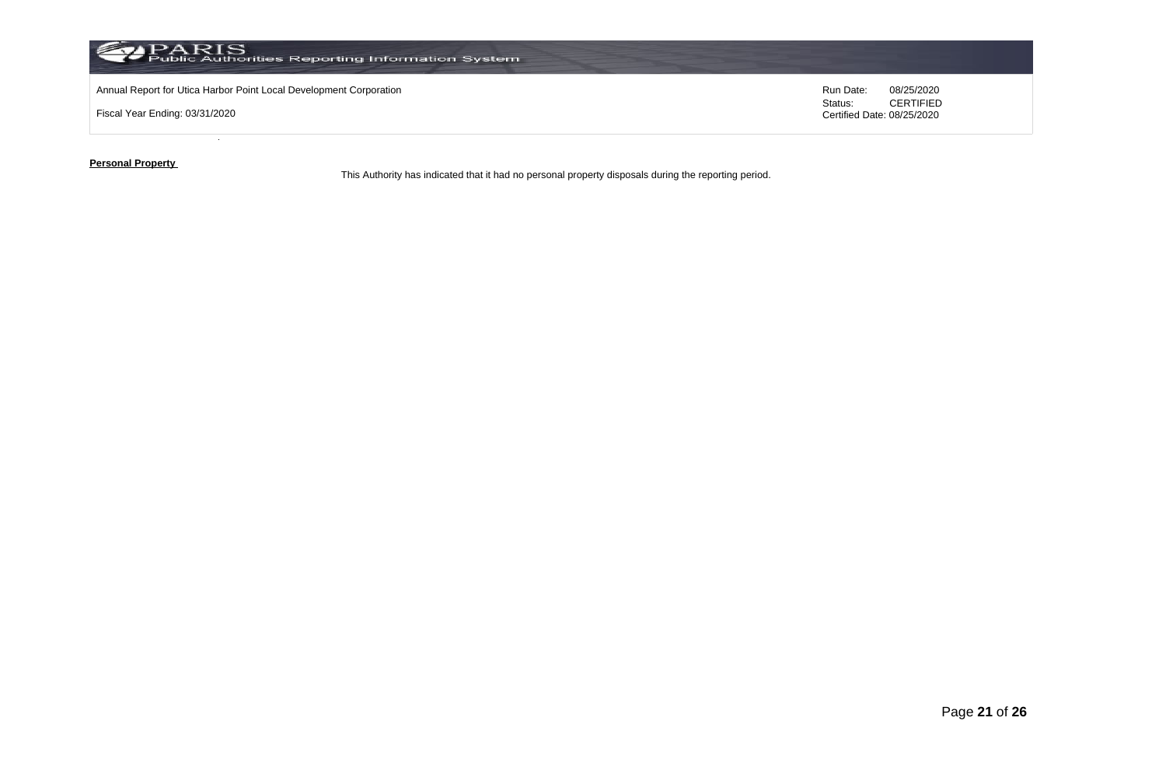

**Personal Property** 

This Authority has indicated that it had no personal property disposals during the reporting period.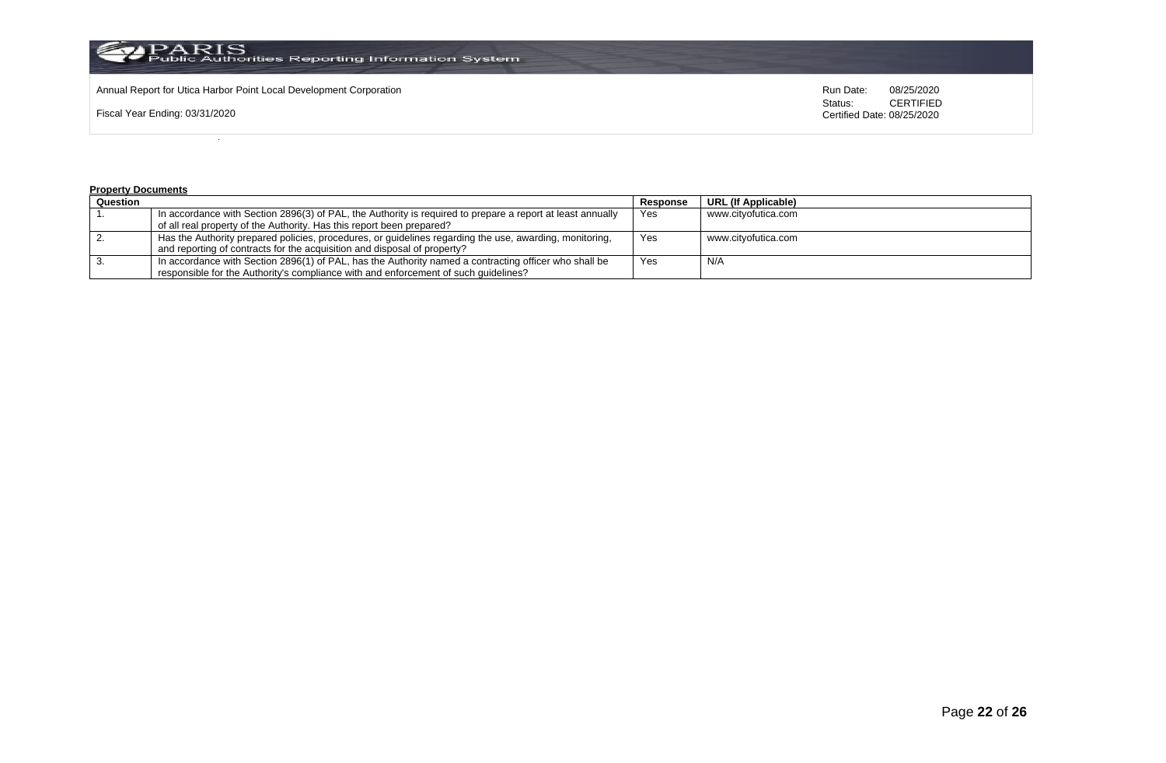

Annual Report for Utica Harbor Point Local Development Corporation **Run Date:** 08/25/2020 Run Date: 08/25/2020

Fiscal Year Ending: 03/31/2020

Status: **CERTIFIED** Certified Date: 08/25/2020

#### **Property Documents**

| Question |                                                                                                            | Response | <b>URL (If Applicable)</b> |
|----------|------------------------------------------------------------------------------------------------------------|----------|----------------------------|
|          | In accordance with Section 2896(3) of PAL, the Authority is required to prepare a report at least annually | Yes      | www.cityofutica.com        |
|          | of all real property of the Authority. Has this report been prepared?                                      |          |                            |
|          | Has the Authority prepared policies, procedures, or guidelines regarding the use, awarding, monitoring,    | Yes      | www.citvofutica.com        |
|          | and reporting of contracts for the acquisition and disposal of property?                                   |          |                            |
|          | In accordance with Section 2896(1) of PAL, has the Authority named a contracting officer who shall be      | Yes      | N/A                        |
|          | responsible for the Authority's compliance with and enforcement of such quidelines?                        |          |                            |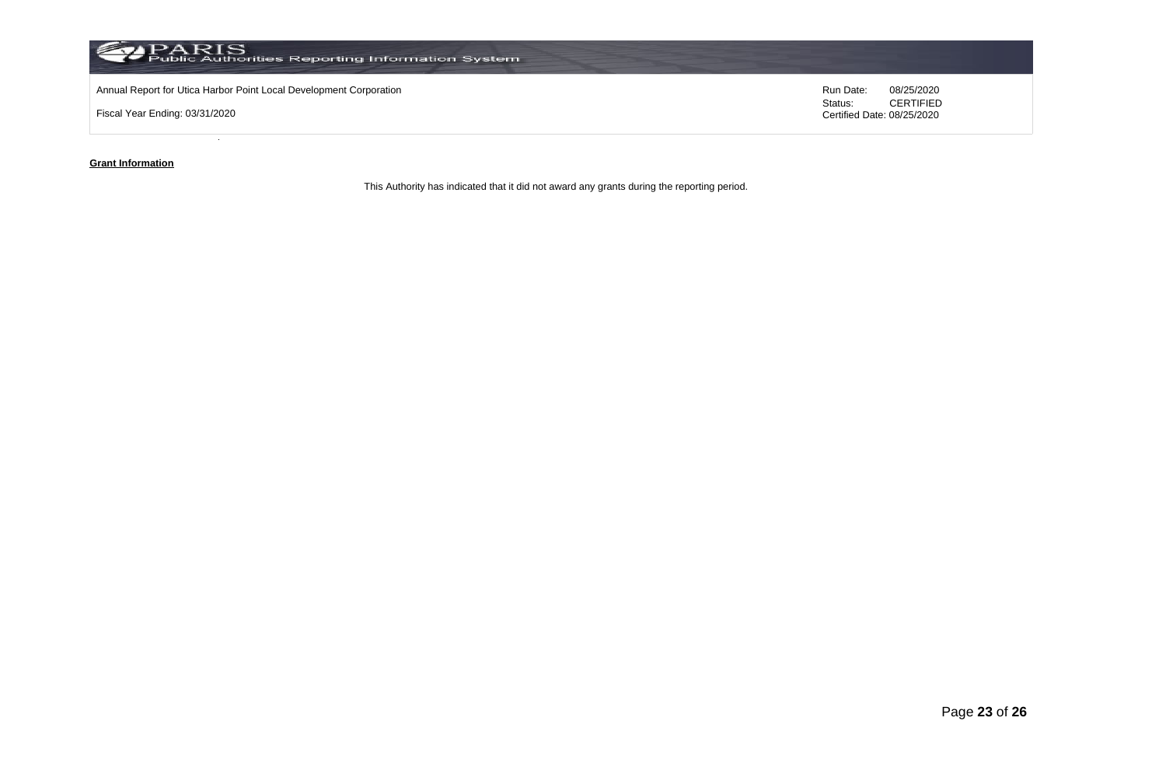

### **Grant Information**

This Authority has indicated that it did not award any grants during the reporting period.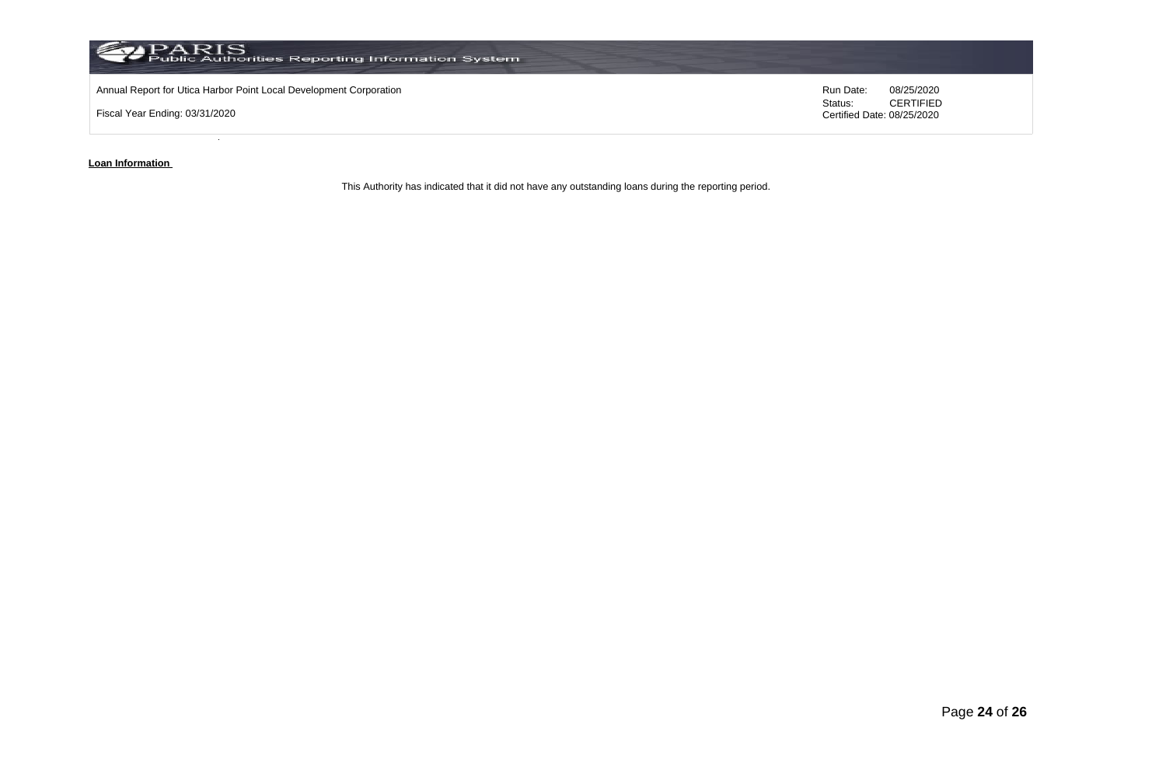

**Loan Information** 

This Authority has indicated that it did not have any outstanding loans during the reporting period.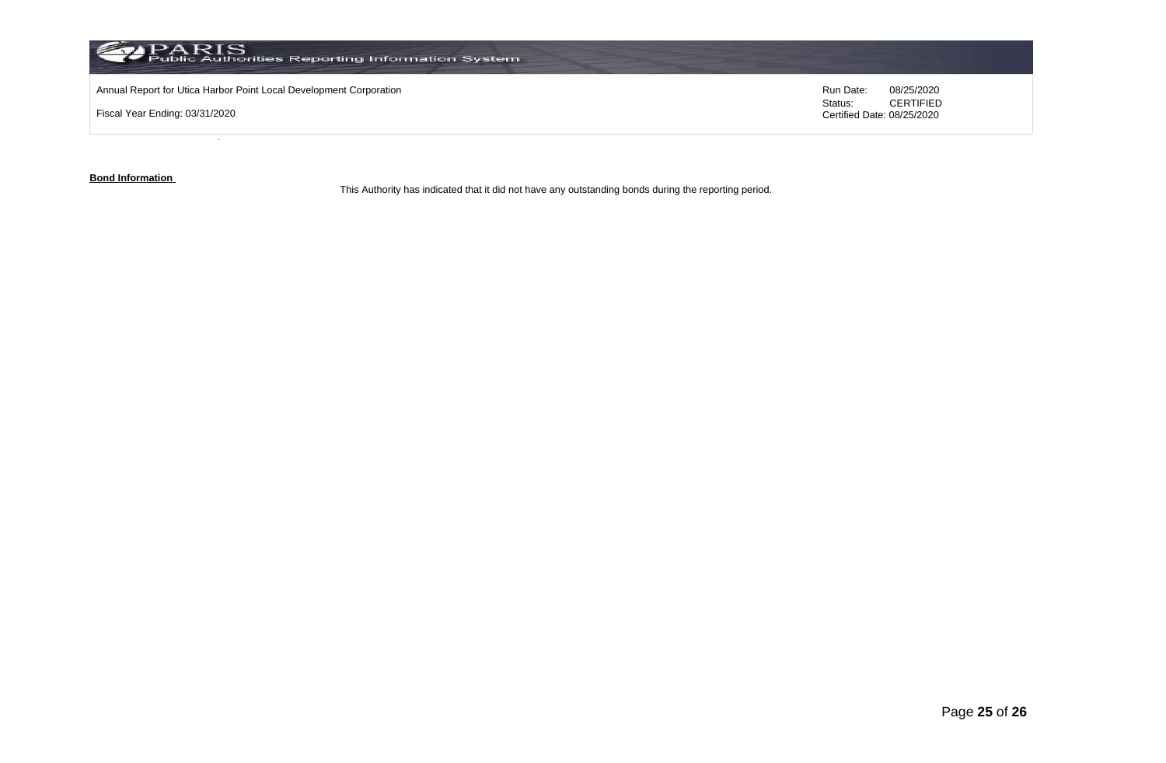

**Bond Information** 

This Authority has indicated that it did not have any outstanding bonds during the reporting period.